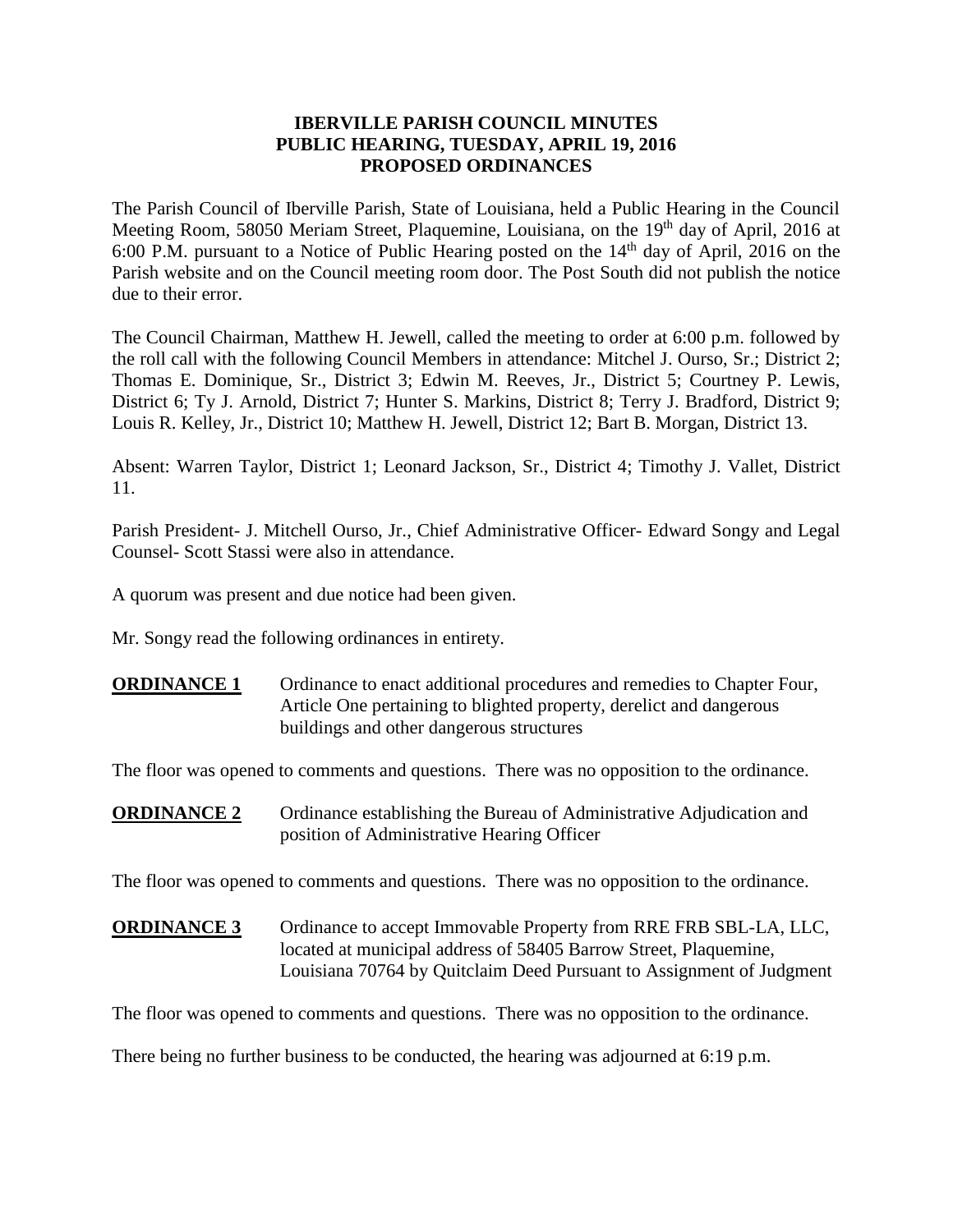## **IBERVILLE PARISH COUNCIL MINUTES PUBLIC HEARING, TUESDAY, APRIL 19, 2016 PROPOSED ORDINANCES**

The Parish Council of Iberville Parish, State of Louisiana, held a Public Hearing in the Council Meeting Room, 58050 Meriam Street, Plaquemine, Louisiana, on the 19<sup>th</sup> day of April, 2016 at 6:00 P.M. pursuant to a Notice of Public Hearing posted on the  $14<sup>th</sup>$  day of April, 2016 on the Parish website and on the Council meeting room door. The Post South did not publish the notice due to their error.

The Council Chairman, Matthew H. Jewell, called the meeting to order at 6:00 p.m. followed by the roll call with the following Council Members in attendance: Mitchel J. Ourso, Sr.; District 2; Thomas E. Dominique, Sr., District 3; Edwin M. Reeves, Jr., District 5; Courtney P. Lewis, District 6; Ty J. Arnold, District 7; Hunter S. Markins, District 8; Terry J. Bradford, District 9; Louis R. Kelley, Jr., District 10; Matthew H. Jewell, District 12; Bart B. Morgan, District 13.

Absent: Warren Taylor, District 1; Leonard Jackson, Sr., District 4; Timothy J. Vallet, District 11.

Parish President- J. Mitchell Ourso, Jr., Chief Administrative Officer- Edward Songy and Legal Counsel- Scott Stassi were also in attendance.

A quorum was present and due notice had been given.

Mr. Songy read the following ordinances in entirety.

**ORDINANCE 1** Ordinance to enact additional procedures and remedies to Chapter Four, Article One pertaining to blighted property, derelict and dangerous buildings and other dangerous structures

The floor was opened to comments and questions. There was no opposition to the ordinance.

**ORDINANCE 2** Ordinance establishing the Bureau of Administrative Adjudication and position of Administrative Hearing Officer

The floor was opened to comments and questions. There was no opposition to the ordinance.

**ORDINANCE 3** Ordinance to accept Immovable Property from RRE FRB SBL-LA, LLC, located at municipal address of 58405 Barrow Street, Plaquemine, Louisiana 70764 by Quitclaim Deed Pursuant to Assignment of Judgment

The floor was opened to comments and questions. There was no opposition to the ordinance.

There being no further business to be conducted, the hearing was adjourned at 6:19 p.m.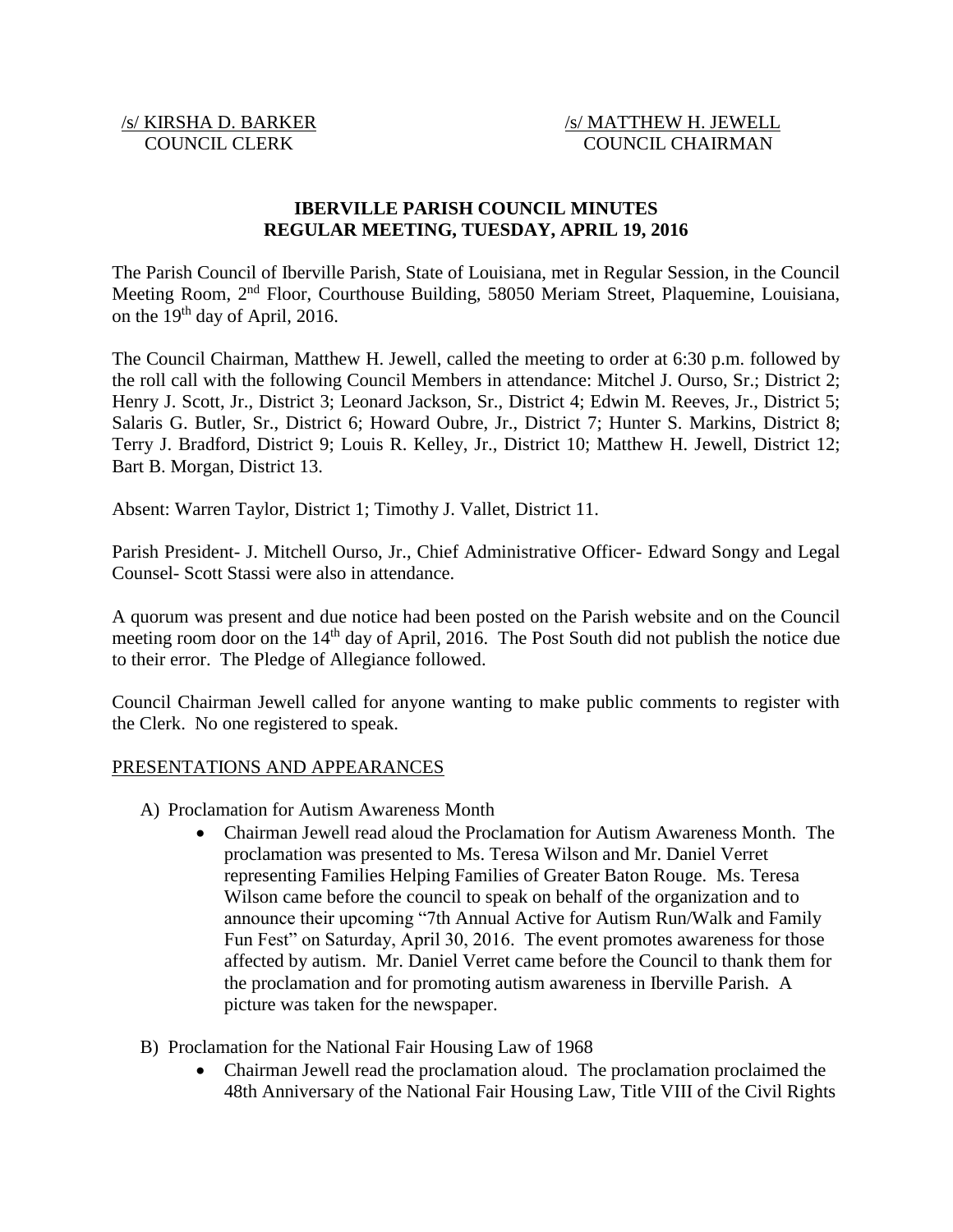# /s/ KIRSHA D. BARKER /s/ MATTHEW H. JEWELL COUNCIL CLERK COUNCIL CHAIRMAN

# **IBERVILLE PARISH COUNCIL MINUTES REGULAR MEETING, TUESDAY, APRIL 19, 2016**

The Parish Council of Iberville Parish, State of Louisiana, met in Regular Session, in the Council Meeting Room, 2nd Floor, Courthouse Building, 58050 Meriam Street, Plaquemine, Louisiana, on the  $19<sup>th</sup>$  day of April, 2016.

The Council Chairman, Matthew H. Jewell, called the meeting to order at 6:30 p.m. followed by the roll call with the following Council Members in attendance: Mitchel J. Ourso, Sr.; District 2; Henry J. Scott, Jr., District 3; Leonard Jackson, Sr., District 4; Edwin M. Reeves, Jr., District 5; Salaris G. Butler, Sr., District 6; Howard Oubre, Jr., District 7; Hunter S. Markins, District 8; Terry J. Bradford, District 9; Louis R. Kelley, Jr., District 10; Matthew H. Jewell, District 12; Bart B. Morgan, District 13.

Absent: Warren Taylor, District 1; Timothy J. Vallet, District 11.

Parish President- J. Mitchell Ourso, Jr., Chief Administrative Officer- Edward Songy and Legal Counsel- Scott Stassi were also in attendance.

A quorum was present and due notice had been posted on the Parish website and on the Council meeting room door on the 14<sup>th</sup> day of April, 2016. The Post South did not publish the notice due to their error. The Pledge of Allegiance followed.

Council Chairman Jewell called for anyone wanting to make public comments to register with the Clerk. No one registered to speak.

#### PRESENTATIONS AND APPEARANCES

- A) Proclamation for Autism Awareness Month
	- Chairman Jewell read aloud the Proclamation for Autism Awareness Month. The proclamation was presented to Ms. Teresa Wilson and Mr. Daniel Verret representing Families Helping Families of Greater Baton Rouge. Ms. Teresa Wilson came before the council to speak on behalf of the organization and to announce their upcoming "7th Annual Active for Autism Run/Walk and Family Fun Fest" on Saturday, April 30, 2016. The event promotes awareness for those affected by autism. Mr. Daniel Verret came before the Council to thank them for the proclamation and for promoting autism awareness in Iberville Parish. A picture was taken for the newspaper.
- B) Proclamation for the National Fair Housing Law of 1968
	- Chairman Jewell read the proclamation aloud. The proclamation proclaimed the 48th Anniversary of the National Fair Housing Law, Title VIII of the Civil Rights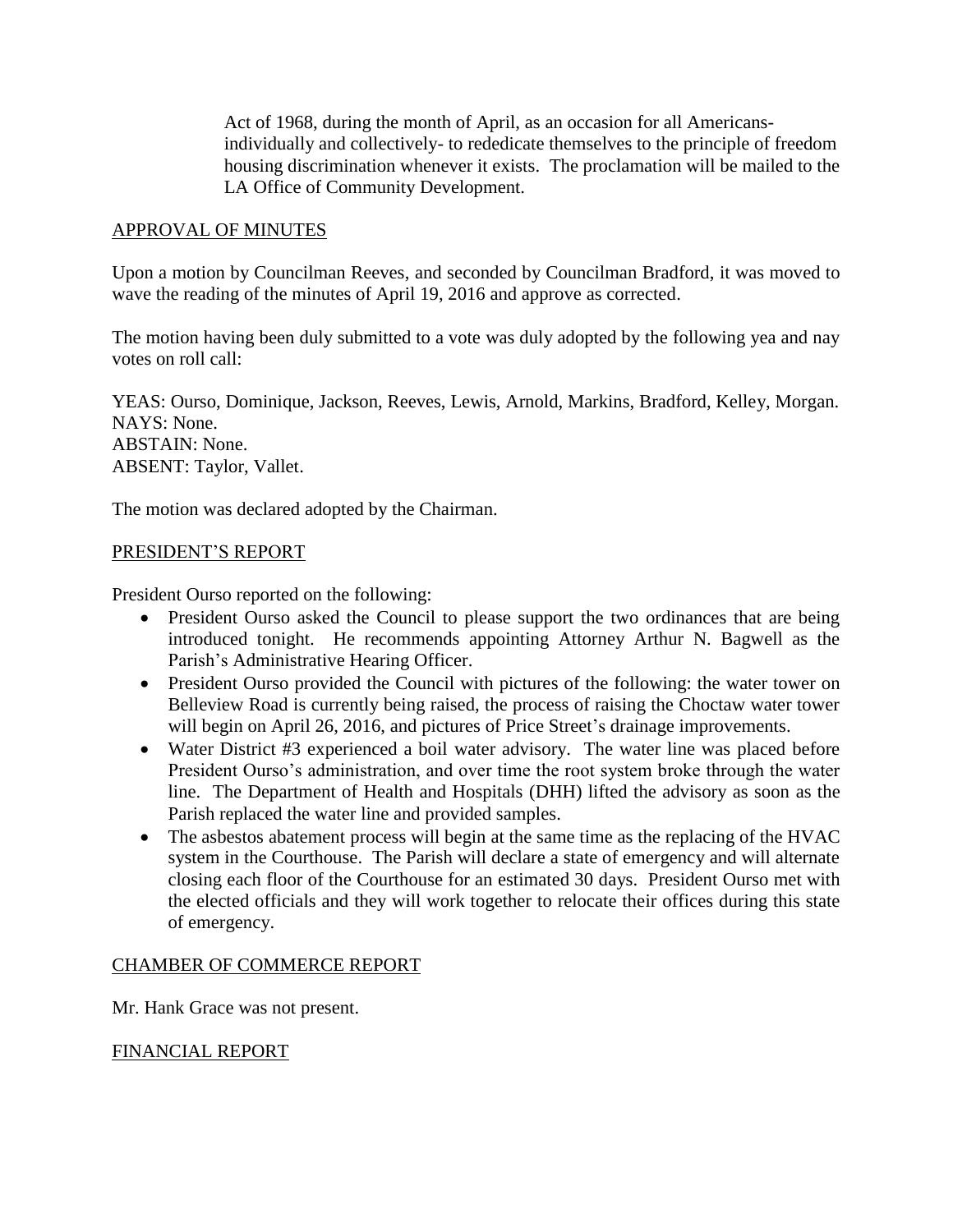Act of 1968, during the month of April, as an occasion for all Americansindividually and collectively- to rededicate themselves to the principle of freedom housing discrimination whenever it exists. The proclamation will be mailed to the LA Office of Community Development.

## APPROVAL OF MINUTES

Upon a motion by Councilman Reeves, and seconded by Councilman Bradford, it was moved to wave the reading of the minutes of April 19, 2016 and approve as corrected.

The motion having been duly submitted to a vote was duly adopted by the following yea and nay votes on roll call:

YEAS: Ourso, Dominique, Jackson, Reeves, Lewis, Arnold, Markins, Bradford, Kelley, Morgan. NAYS: None. ABSTAIN: None. ABSENT: Taylor, Vallet.

The motion was declared adopted by the Chairman.

## PRESIDENT'S REPORT

President Ourso reported on the following:

- President Ourso asked the Council to please support the two ordinances that are being introduced tonight. He recommends appointing Attorney Arthur N. Bagwell as the Parish's Administrative Hearing Officer.
- President Ourso provided the Council with pictures of the following: the water tower on Belleview Road is currently being raised, the process of raising the Choctaw water tower will begin on April 26, 2016, and pictures of Price Street's drainage improvements.
- Water District #3 experienced a boil water advisory. The water line was placed before President Ourso's administration, and over time the root system broke through the water line. The Department of Health and Hospitals (DHH) lifted the advisory as soon as the Parish replaced the water line and provided samples.
- The asbestos abatement process will begin at the same time as the replacing of the HVAC system in the Courthouse. The Parish will declare a state of emergency and will alternate closing each floor of the Courthouse for an estimated 30 days. President Ourso met with the elected officials and they will work together to relocate their offices during this state of emergency.

#### CHAMBER OF COMMERCE REPORT

Mr. Hank Grace was not present.

# FINANCIAL REPORT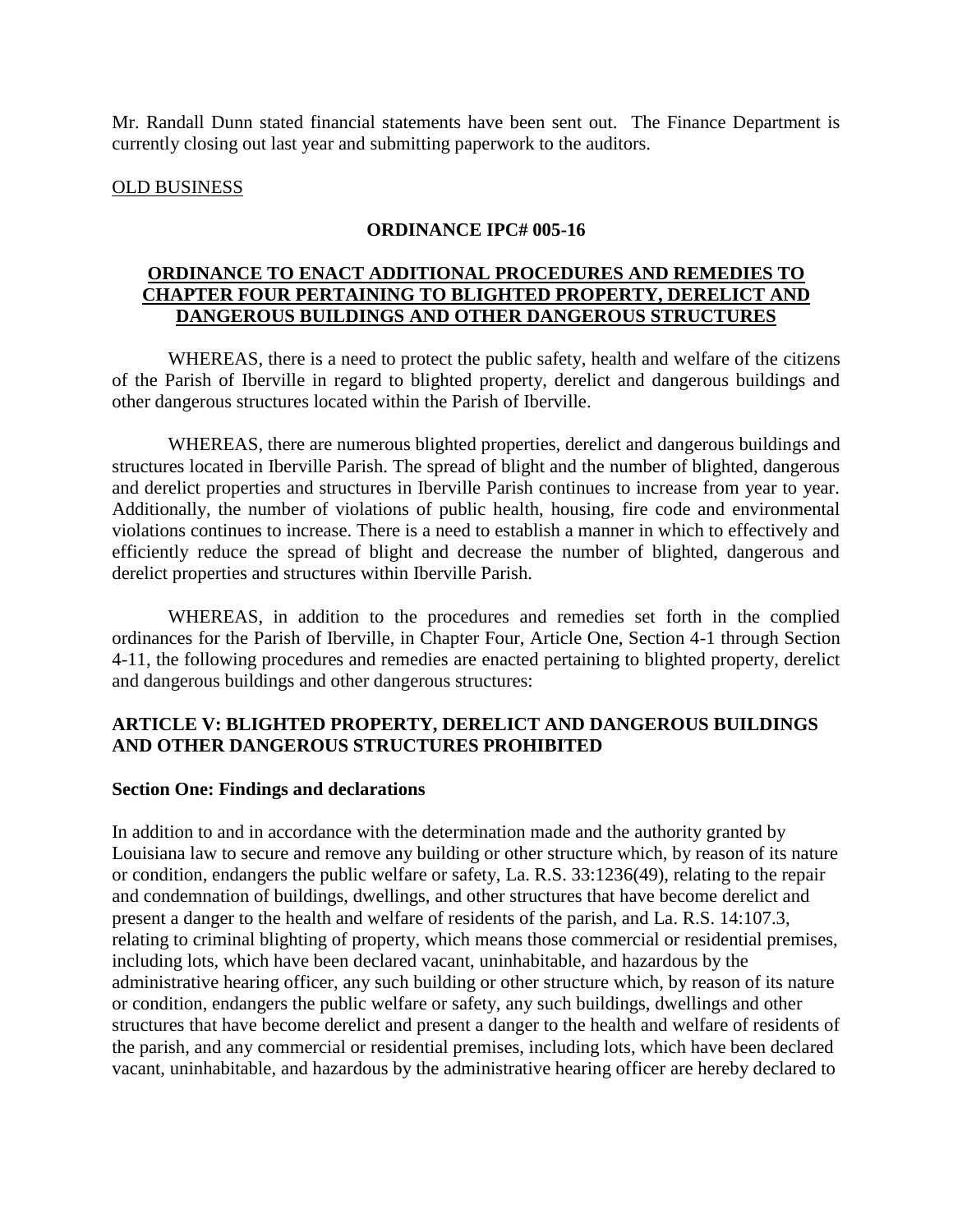Mr. Randall Dunn stated financial statements have been sent out. The Finance Department is currently closing out last year and submitting paperwork to the auditors.

#### OLD BUSINESS

#### **ORDINANCE IPC# 005-16**

#### **ORDINANCE TO ENACT ADDITIONAL PROCEDURES AND REMEDIES TO CHAPTER FOUR PERTAINING TO BLIGHTED PROPERTY, DERELICT AND DANGEROUS BUILDINGS AND OTHER DANGEROUS STRUCTURES**

WHEREAS, there is a need to protect the public safety, health and welfare of the citizens of the Parish of Iberville in regard to blighted property, derelict and dangerous buildings and other dangerous structures located within the Parish of Iberville.

WHEREAS, there are numerous blighted properties, derelict and dangerous buildings and structures located in Iberville Parish. The spread of blight and the number of blighted, dangerous and derelict properties and structures in Iberville Parish continues to increase from year to year. Additionally, the number of violations of public health, housing, fire code and environmental violations continues to increase. There is a need to establish a manner in which to effectively and efficiently reduce the spread of blight and decrease the number of blighted, dangerous and derelict properties and structures within Iberville Parish.

WHEREAS, in addition to the procedures and remedies set forth in the complied ordinances for the Parish of Iberville, in Chapter Four, Article One, Section 4-1 through Section 4-11, the following procedures and remedies are enacted pertaining to blighted property, derelict and dangerous buildings and other dangerous structures:

# **ARTICLE V: BLIGHTED PROPERTY, DERELICT AND DANGEROUS BUILDINGS AND OTHER DANGEROUS STRUCTURES PROHIBITED**

#### **Section One: Findings and declarations**

In addition to and in accordance with the determination made and the authority granted by Louisiana law to secure and remove any building or other structure which, by reason of its nature or condition, endangers the public welfare or safety, La. R.S. 33:1236(49), relating to the repair and condemnation of buildings, dwellings, and other structures that have become derelict and present a danger to the health and welfare of residents of the parish, and La. R.S. 14:107.3, relating to criminal blighting of property, which means those commercial or residential premises, including lots, which have been declared vacant, uninhabitable, and hazardous by the administrative hearing officer, any such building or other structure which, by reason of its nature or condition, endangers the public welfare or safety, any such buildings, dwellings and other structures that have become derelict and present a danger to the health and welfare of residents of the parish, and any commercial or residential premises, including lots, which have been declared vacant, uninhabitable, and hazardous by the administrative hearing officer are hereby declared to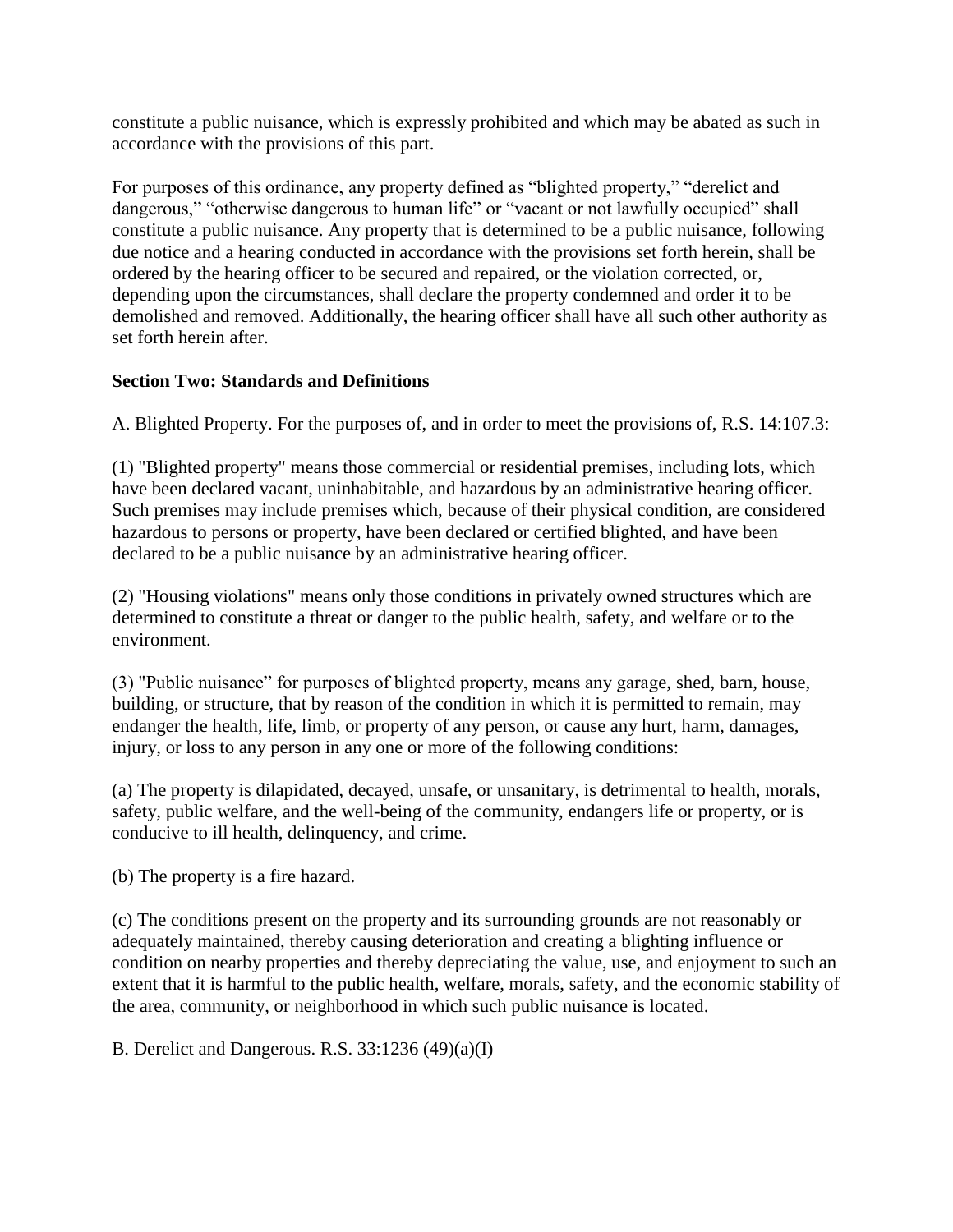constitute a public nuisance, which is expressly prohibited and which may be abated as such in accordance with the provisions of this part.

For purposes of this ordinance, any property defined as "blighted property," "derelict and dangerous," "otherwise dangerous to human life" or "vacant or not lawfully occupied" shall constitute a public nuisance. Any property that is determined to be a public nuisance, following due notice and a hearing conducted in accordance with the provisions set forth herein, shall be ordered by the hearing officer to be secured and repaired, or the violation corrected, or, depending upon the circumstances, shall declare the property condemned and order it to be demolished and removed. Additionally, the hearing officer shall have all such other authority as set forth herein after.

# **Section Two: Standards and Definitions**

A. Blighted Property. For the purposes of, and in order to meet the provisions of, R.S. 14:107.3:

(1) "Blighted property" means those commercial or residential premises, including lots, which have been declared vacant, uninhabitable, and hazardous by an administrative hearing officer. Such premises may include premises which, because of their physical condition, are considered hazardous to persons or property, have been declared or certified blighted, and have been declared to be a public nuisance by an administrative hearing officer.

(2) "Housing violations" means only those conditions in privately owned structures which are determined to constitute a threat or danger to the public health, safety, and welfare or to the environment.

(3) "Public nuisance" for purposes of blighted property, means any garage, shed, barn, house, building, or structure, that by reason of the condition in which it is permitted to remain, may endanger the health, life, limb, or property of any person, or cause any hurt, harm, damages, injury, or loss to any person in any one or more of the following conditions:

(a) The property is dilapidated, decayed, unsafe, or unsanitary, is detrimental to health, morals, safety, public welfare, and the well-being of the community, endangers life or property, or is conducive to ill health, delinquency, and crime.

(b) The property is a fire hazard.

(c) The conditions present on the property and its surrounding grounds are not reasonably or adequately maintained, thereby causing deterioration and creating a blighting influence or condition on nearby properties and thereby depreciating the value, use, and enjoyment to such an extent that it is harmful to the public health, welfare, morals, safety, and the economic stability of the area, community, or neighborhood in which such public nuisance is located.

B. Derelict and Dangerous. R.S. 33:1236 (49)(a)(I)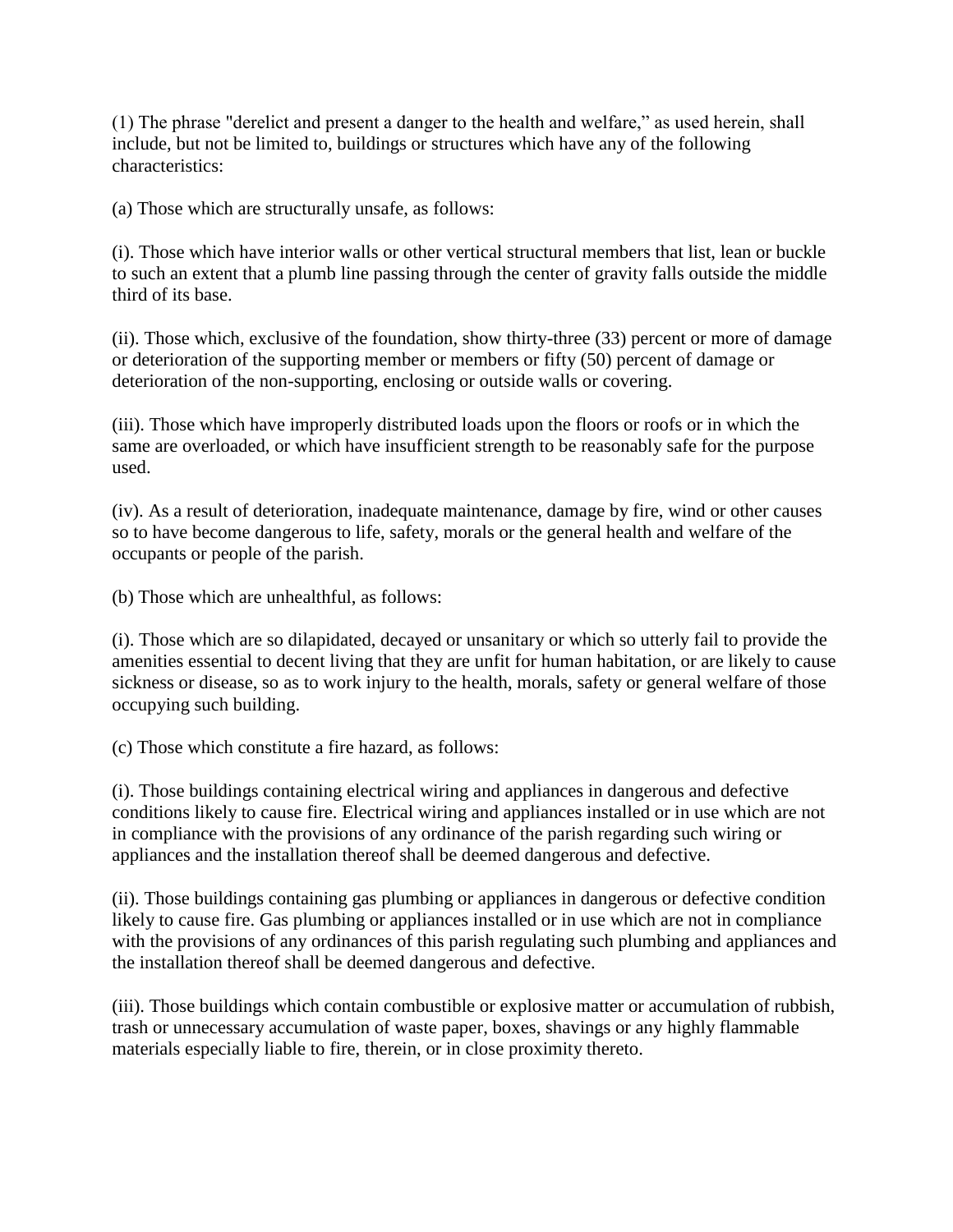(1) The phrase "derelict and present a danger to the health and welfare," as used herein, shall include, but not be limited to, buildings or structures which have any of the following characteristics:

(a) Those which are structurally unsafe, as follows:

(i). Those which have interior walls or other vertical structural members that list, lean or buckle to such an extent that a plumb line passing through the center of gravity falls outside the middle third of its base.

(ii). Those which, exclusive of the foundation, show thirty-three (33) percent or more of damage or deterioration of the supporting member or members or fifty (50) percent of damage or deterioration of the non-supporting, enclosing or outside walls or covering.

(iii). Those which have improperly distributed loads upon the floors or roofs or in which the same are overloaded, or which have insufficient strength to be reasonably safe for the purpose used.

(iv). As a result of deterioration, inadequate maintenance, damage by fire, wind or other causes so to have become dangerous to life, safety, morals or the general health and welfare of the occupants or people of the parish.

(b) Those which are unhealthful, as follows:

(i). Those which are so dilapidated, decayed or unsanitary or which so utterly fail to provide the amenities essential to decent living that they are unfit for human habitation, or are likely to cause sickness or disease, so as to work injury to the health, morals, safety or general welfare of those occupying such building.

(c) Those which constitute a fire hazard, as follows:

(i). Those buildings containing electrical wiring and appliances in dangerous and defective conditions likely to cause fire. Electrical wiring and appliances installed or in use which are not in compliance with the provisions of any ordinance of the parish regarding such wiring or appliances and the installation thereof shall be deemed dangerous and defective.

(ii). Those buildings containing gas plumbing or appliances in dangerous or defective condition likely to cause fire. Gas plumbing or appliances installed or in use which are not in compliance with the provisions of any ordinances of this parish regulating such plumbing and appliances and the installation thereof shall be deemed dangerous and defective.

(iii). Those buildings which contain combustible or explosive matter or accumulation of rubbish, trash or unnecessary accumulation of waste paper, boxes, shavings or any highly flammable materials especially liable to fire, therein, or in close proximity thereto.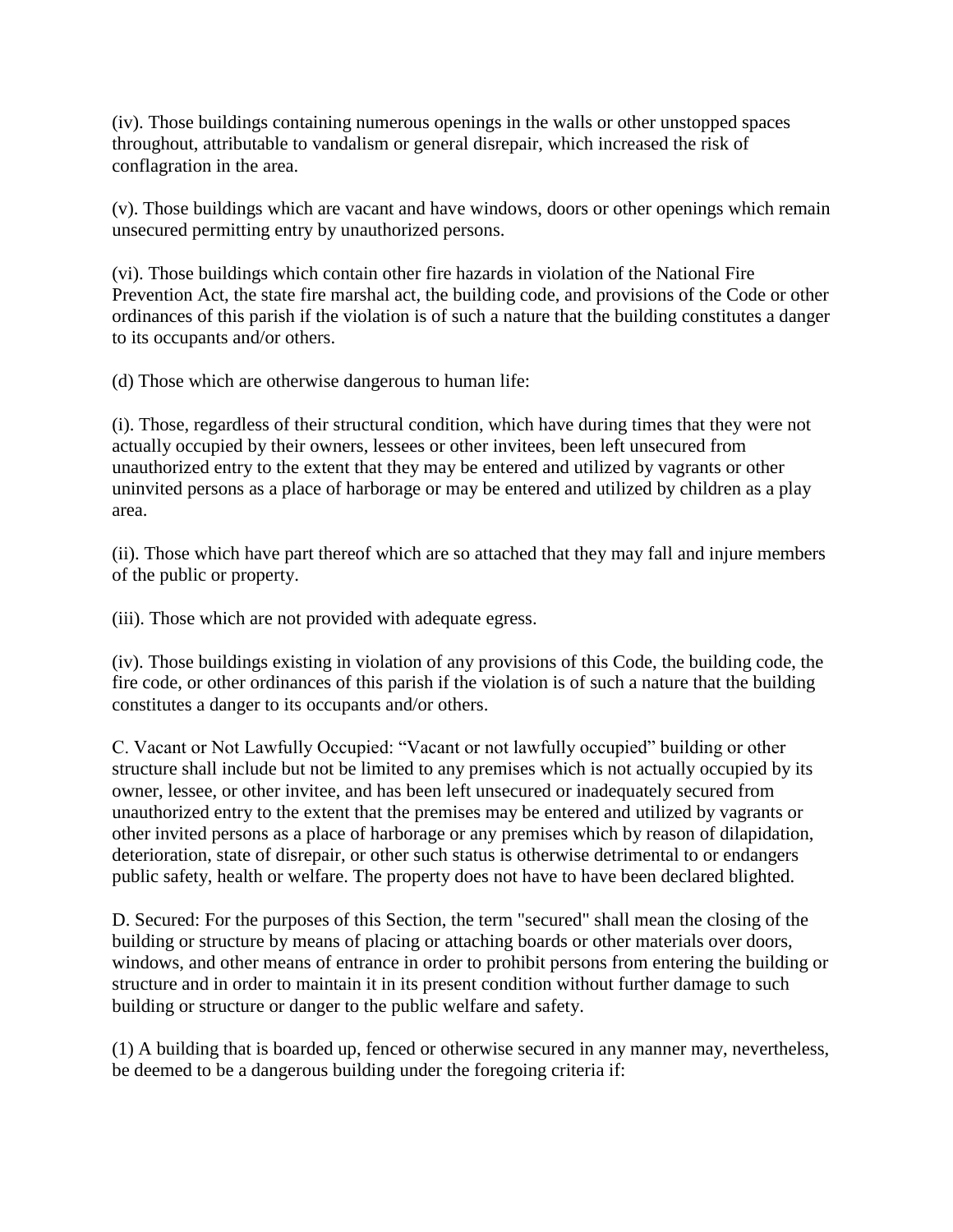(iv). Those buildings containing numerous openings in the walls or other unstopped spaces throughout, attributable to vandalism or general disrepair, which increased the risk of conflagration in the area.

(v). Those buildings which are vacant and have windows, doors or other openings which remain unsecured permitting entry by unauthorized persons.

(vi). Those buildings which contain other fire hazards in violation of the National Fire Prevention Act, the state fire marshal act, the building code, and provisions of the Code or other ordinances of this parish if the violation is of such a nature that the building constitutes a danger to its occupants and/or others.

(d) Those which are otherwise dangerous to human life:

(i). Those, regardless of their structural condition, which have during times that they were not actually occupied by their owners, lessees or other invitees, been left unsecured from unauthorized entry to the extent that they may be entered and utilized by vagrants or other uninvited persons as a place of harborage or may be entered and utilized by children as a play area.

(ii). Those which have part thereof which are so attached that they may fall and injure members of the public or property.

(iii). Those which are not provided with adequate egress.

(iv). Those buildings existing in violation of any provisions of this Code, the building code, the fire code, or other ordinances of this parish if the violation is of such a nature that the building constitutes a danger to its occupants and/or others.

C. Vacant or Not Lawfully Occupied: "Vacant or not lawfully occupied" building or other structure shall include but not be limited to any premises which is not actually occupied by its owner, lessee, or other invitee, and has been left unsecured or inadequately secured from unauthorized entry to the extent that the premises may be entered and utilized by vagrants or other invited persons as a place of harborage or any premises which by reason of dilapidation, deterioration, state of disrepair, or other such status is otherwise detrimental to or endangers public safety, health or welfare. The property does not have to have been declared blighted.

D. Secured: For the purposes of this Section, the term "secured" shall mean the closing of the building or structure by means of placing or attaching boards or other materials over doors, windows, and other means of entrance in order to prohibit persons from entering the building or structure and in order to maintain it in its present condition without further damage to such building or structure or danger to the public welfare and safety.

(1) A building that is boarded up, fenced or otherwise secured in any manner may, nevertheless, be deemed to be a dangerous building under the foregoing criteria if: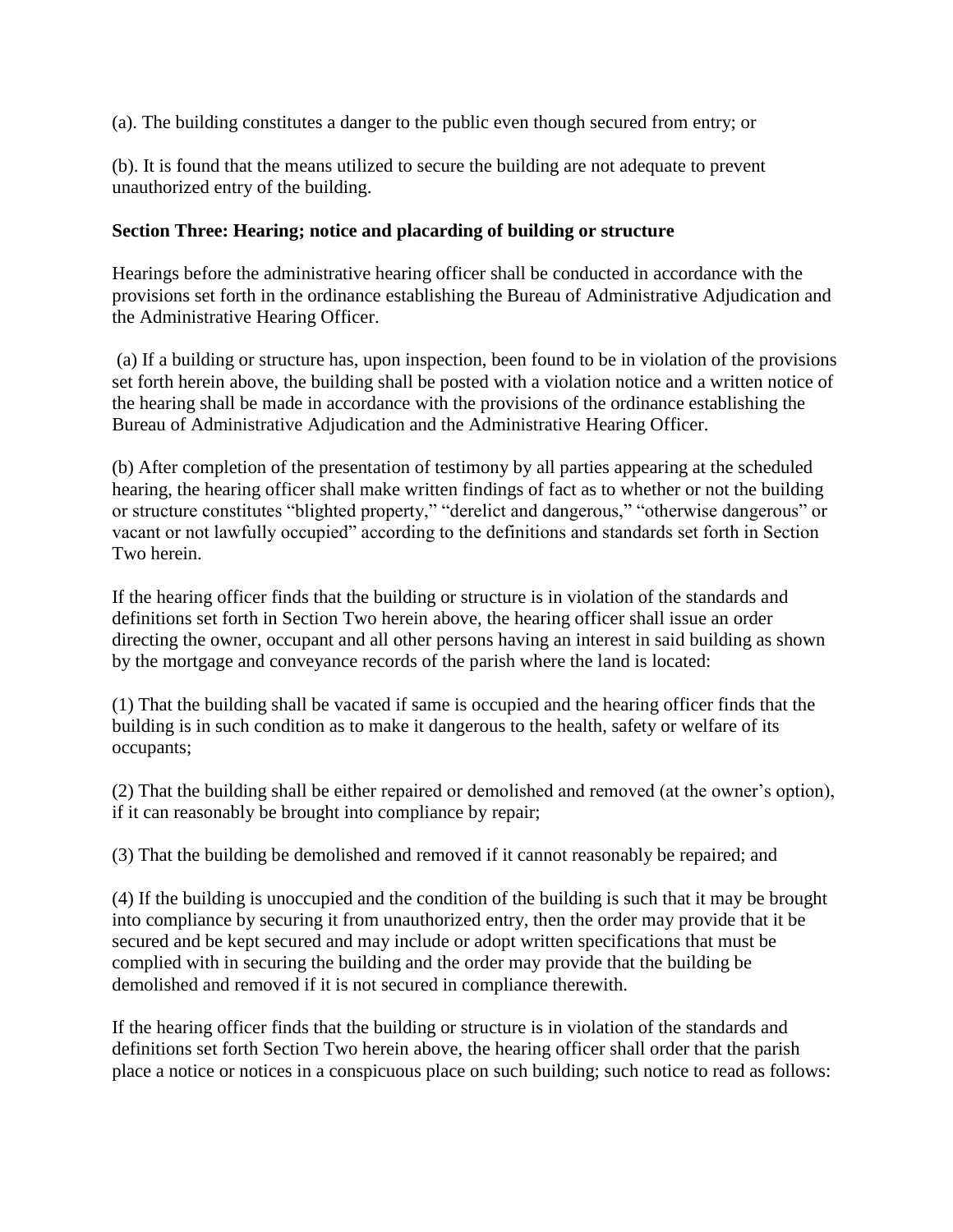(a). The building constitutes a danger to the public even though secured from entry; or

(b). It is found that the means utilized to secure the building are not adequate to prevent unauthorized entry of the building.

## **Section Three: Hearing; notice and placarding of building or structure**

Hearings before the administrative hearing officer shall be conducted in accordance with the provisions set forth in the ordinance establishing the Bureau of Administrative Adjudication and the Administrative Hearing Officer.

(a) If a building or structure has, upon inspection, been found to be in violation of the provisions set forth herein above, the building shall be posted with a violation notice and a written notice of the hearing shall be made in accordance with the provisions of the ordinance establishing the Bureau of Administrative Adjudication and the Administrative Hearing Officer.

(b) After completion of the presentation of testimony by all parties appearing at the scheduled hearing, the hearing officer shall make written findings of fact as to whether or not the building or structure constitutes "blighted property," "derelict and dangerous," "otherwise dangerous" or vacant or not lawfully occupied" according to the definitions and standards set forth in Section Two herein.

If the hearing officer finds that the building or structure is in violation of the standards and definitions set forth in Section Two herein above, the hearing officer shall issue an order directing the owner, occupant and all other persons having an interest in said building as shown by the mortgage and conveyance records of the parish where the land is located:

(1) That the building shall be vacated if same is occupied and the hearing officer finds that the building is in such condition as to make it dangerous to the health, safety or welfare of its occupants;

(2) That the building shall be either repaired or demolished and removed (at the owner's option), if it can reasonably be brought into compliance by repair;

(3) That the building be demolished and removed if it cannot reasonably be repaired; and

(4) If the building is unoccupied and the condition of the building is such that it may be brought into compliance by securing it from unauthorized entry, then the order may provide that it be secured and be kept secured and may include or adopt written specifications that must be complied with in securing the building and the order may provide that the building be demolished and removed if it is not secured in compliance therewith.

If the hearing officer finds that the building or structure is in violation of the standards and definitions set forth Section Two herein above, the hearing officer shall order that the parish place a notice or notices in a conspicuous place on such building; such notice to read as follows: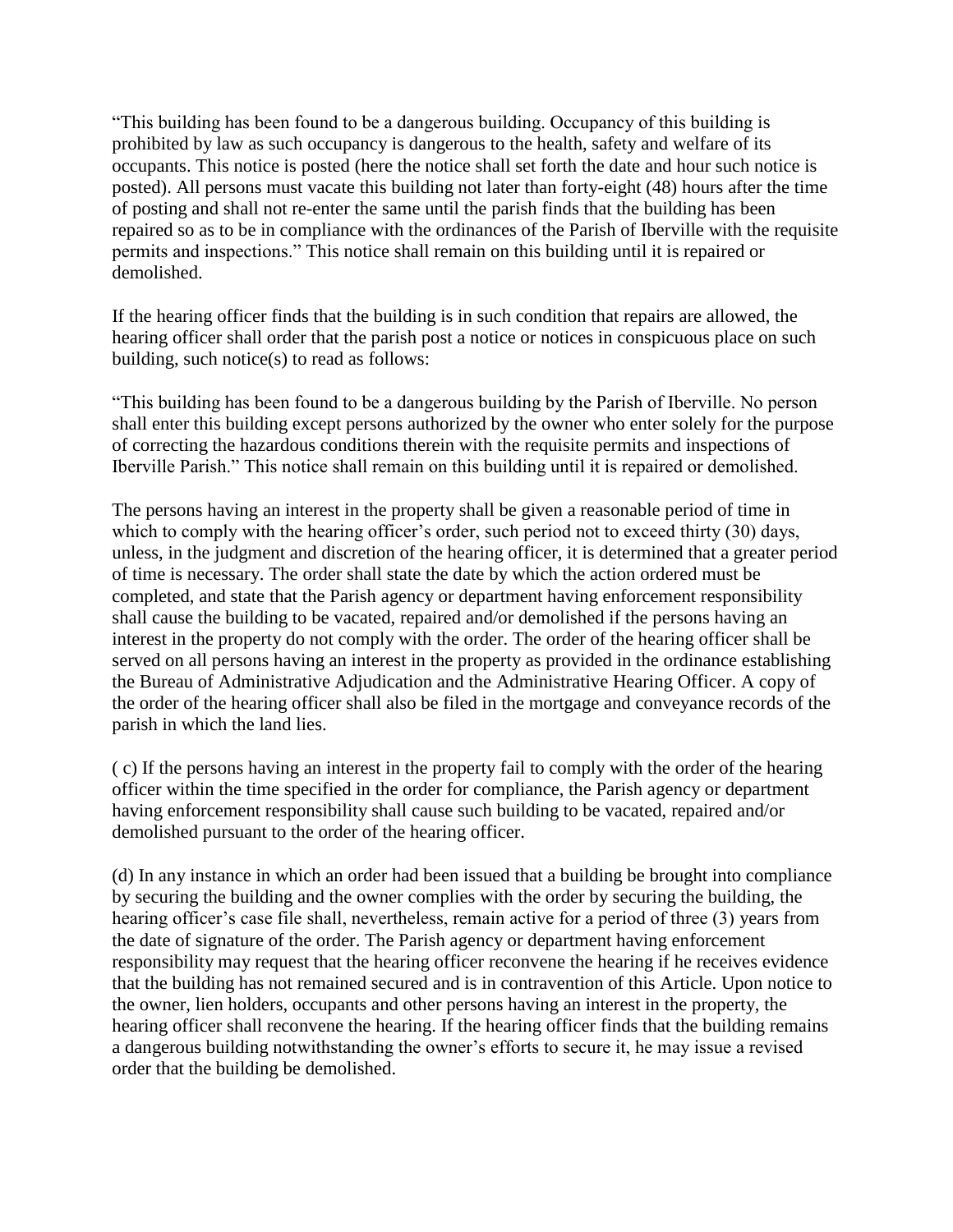"This building has been found to be a dangerous building. Occupancy of this building is prohibited by law as such occupancy is dangerous to the health, safety and welfare of its occupants. This notice is posted (here the notice shall set forth the date and hour such notice is posted). All persons must vacate this building not later than forty-eight (48) hours after the time of posting and shall not re-enter the same until the parish finds that the building has been repaired so as to be in compliance with the ordinances of the Parish of Iberville with the requisite permits and inspections." This notice shall remain on this building until it is repaired or demolished.

If the hearing officer finds that the building is in such condition that repairs are allowed, the hearing officer shall order that the parish post a notice or notices in conspicuous place on such building, such notice(s) to read as follows:

"This building has been found to be a dangerous building by the Parish of Iberville. No person shall enter this building except persons authorized by the owner who enter solely for the purpose of correcting the hazardous conditions therein with the requisite permits and inspections of Iberville Parish." This notice shall remain on this building until it is repaired or demolished.

The persons having an interest in the property shall be given a reasonable period of time in which to comply with the hearing officer's order, such period not to exceed thirty (30) days, unless, in the judgment and discretion of the hearing officer, it is determined that a greater period of time is necessary. The order shall state the date by which the action ordered must be completed, and state that the Parish agency or department having enforcement responsibility shall cause the building to be vacated, repaired and/or demolished if the persons having an interest in the property do not comply with the order. The order of the hearing officer shall be served on all persons having an interest in the property as provided in the ordinance establishing the Bureau of Administrative Adjudication and the Administrative Hearing Officer. A copy of the order of the hearing officer shall also be filed in the mortgage and conveyance records of the parish in which the land lies.

( c) If the persons having an interest in the property fail to comply with the order of the hearing officer within the time specified in the order for compliance, the Parish agency or department having enforcement responsibility shall cause such building to be vacated, repaired and/or demolished pursuant to the order of the hearing officer.

(d) In any instance in which an order had been issued that a building be brought into compliance by securing the building and the owner complies with the order by securing the building, the hearing officer's case file shall, nevertheless, remain active for a period of three (3) years from the date of signature of the order. The Parish agency or department having enforcement responsibility may request that the hearing officer reconvene the hearing if he receives evidence that the building has not remained secured and is in contravention of this Article. Upon notice to the owner, lien holders, occupants and other persons having an interest in the property, the hearing officer shall reconvene the hearing. If the hearing officer finds that the building remains a dangerous building notwithstanding the owner's efforts to secure it, he may issue a revised order that the building be demolished.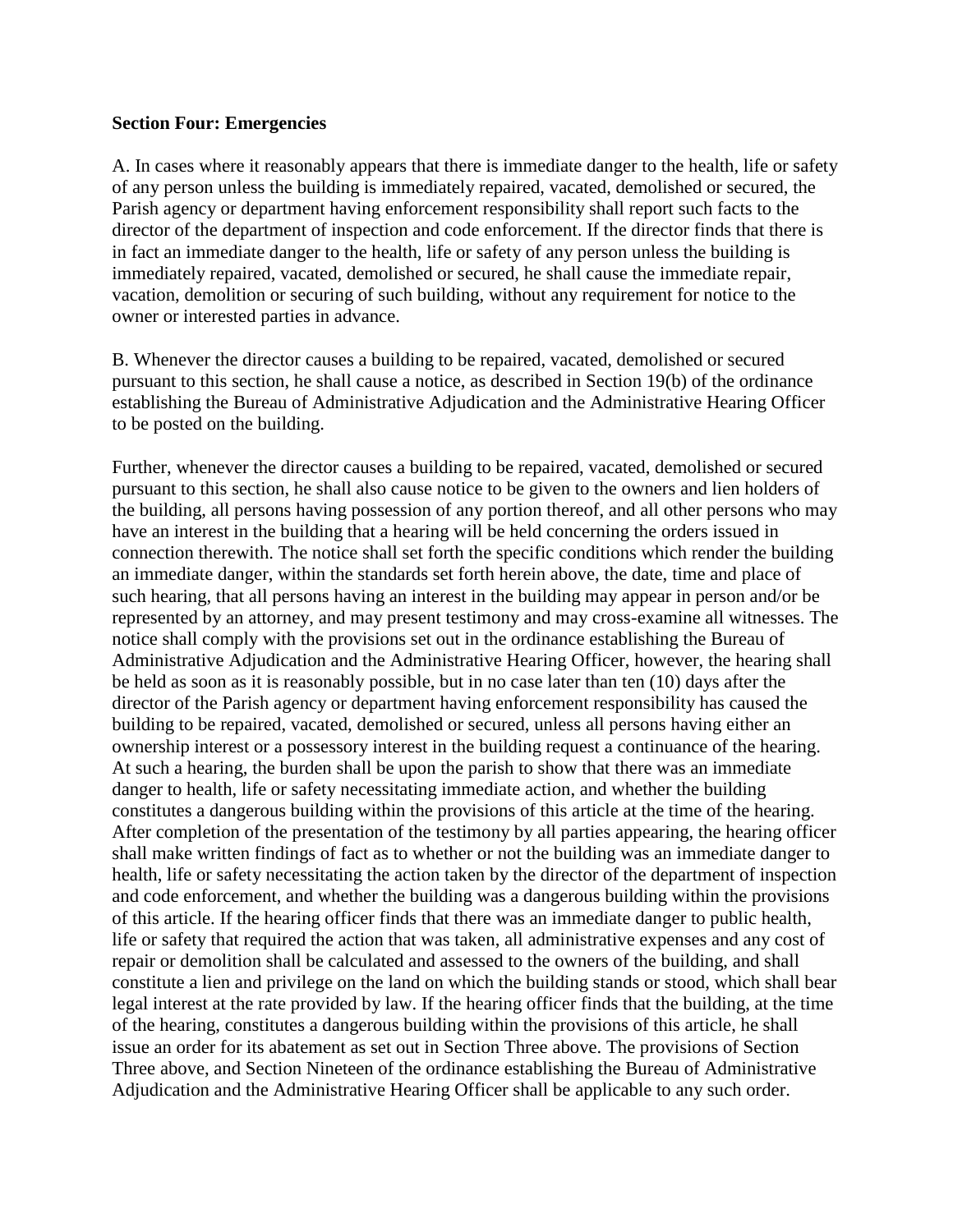#### **Section Four: Emergencies**

A. In cases where it reasonably appears that there is immediate danger to the health, life or safety of any person unless the building is immediately repaired, vacated, demolished or secured, the Parish agency or department having enforcement responsibility shall report such facts to the director of the department of inspection and code enforcement. If the director finds that there is in fact an immediate danger to the health, life or safety of any person unless the building is immediately repaired, vacated, demolished or secured, he shall cause the immediate repair, vacation, demolition or securing of such building, without any requirement for notice to the owner or interested parties in advance.

B. Whenever the director causes a building to be repaired, vacated, demolished or secured pursuant to this section, he shall cause a notice, as described in Section 19(b) of the ordinance establishing the Bureau of Administrative Adjudication and the Administrative Hearing Officer to be posted on the building.

Further, whenever the director causes a building to be repaired, vacated, demolished or secured pursuant to this section, he shall also cause notice to be given to the owners and lien holders of the building, all persons having possession of any portion thereof, and all other persons who may have an interest in the building that a hearing will be held concerning the orders issued in connection therewith. The notice shall set forth the specific conditions which render the building an immediate danger, within the standards set forth herein above, the date, time and place of such hearing, that all persons having an interest in the building may appear in person and/or be represented by an attorney, and may present testimony and may cross-examine all witnesses. The notice shall comply with the provisions set out in the ordinance establishing the Bureau of Administrative Adjudication and the Administrative Hearing Officer, however, the hearing shall be held as soon as it is reasonably possible, but in no case later than ten (10) days after the director of the Parish agency or department having enforcement responsibility has caused the building to be repaired, vacated, demolished or secured, unless all persons having either an ownership interest or a possessory interest in the building request a continuance of the hearing. At such a hearing, the burden shall be upon the parish to show that there was an immediate danger to health, life or safety necessitating immediate action, and whether the building constitutes a dangerous building within the provisions of this article at the time of the hearing. After completion of the presentation of the testimony by all parties appearing, the hearing officer shall make written findings of fact as to whether or not the building was an immediate danger to health, life or safety necessitating the action taken by the director of the department of inspection and code enforcement, and whether the building was a dangerous building within the provisions of this article. If the hearing officer finds that there was an immediate danger to public health, life or safety that required the action that was taken, all administrative expenses and any cost of repair or demolition shall be calculated and assessed to the owners of the building, and shall constitute a lien and privilege on the land on which the building stands or stood, which shall bear legal interest at the rate provided by law. If the hearing officer finds that the building, at the time of the hearing, constitutes a dangerous building within the provisions of this article, he shall issue an order for its abatement as set out in Section Three above. The provisions of Section Three above, and Section Nineteen of the ordinance establishing the Bureau of Administrative Adjudication and the Administrative Hearing Officer shall be applicable to any such order.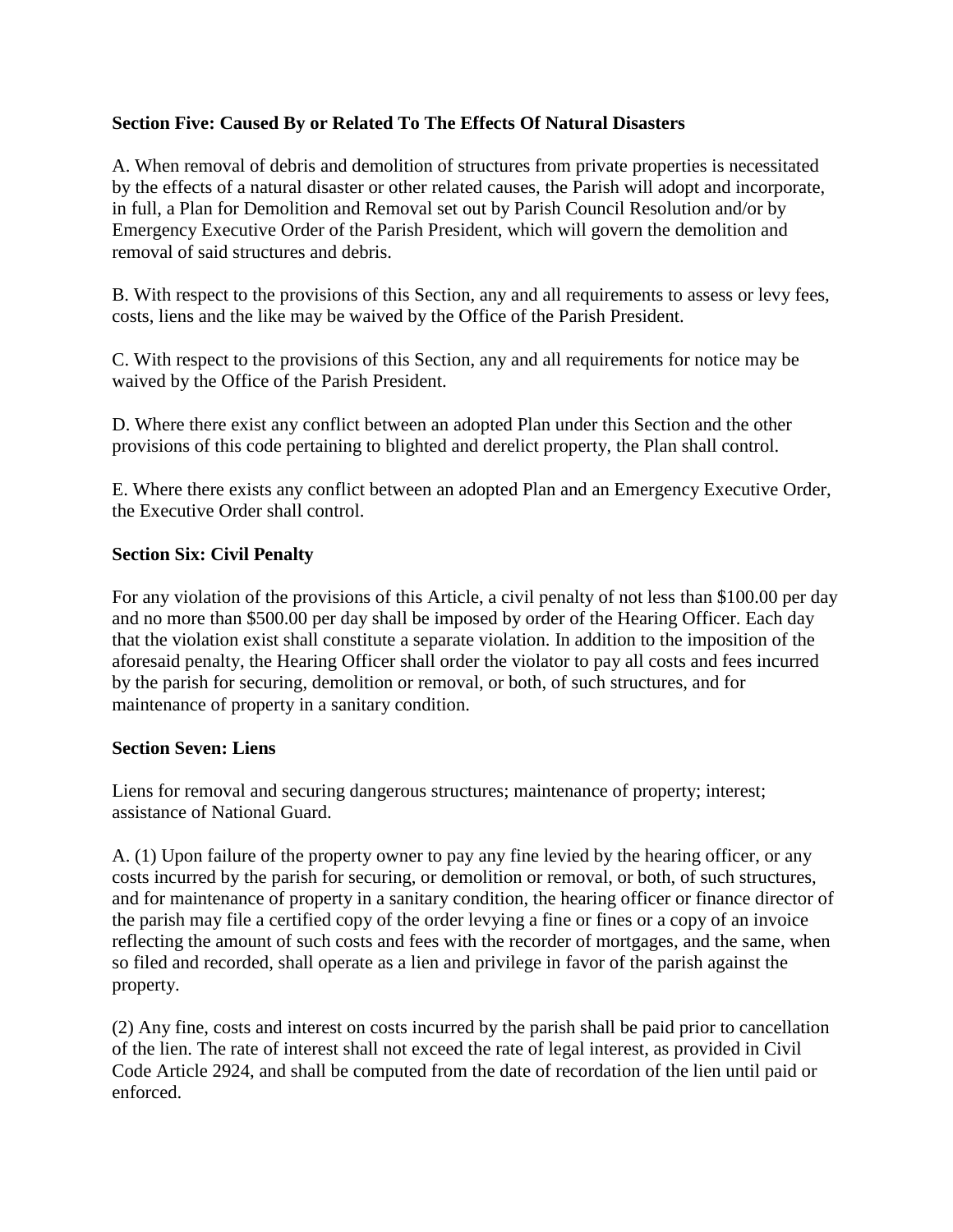# **Section Five: Caused By or Related To The Effects Of Natural Disasters**

A. When removal of debris and demolition of structures from private properties is necessitated by the effects of a natural disaster or other related causes, the Parish will adopt and incorporate, in full, a Plan for Demolition and Removal set out by Parish Council Resolution and/or by Emergency Executive Order of the Parish President, which will govern the demolition and removal of said structures and debris.

B. With respect to the provisions of this Section, any and all requirements to assess or levy fees, costs, liens and the like may be waived by the Office of the Parish President.

C. With respect to the provisions of this Section, any and all requirements for notice may be waived by the Office of the Parish President.

D. Where there exist any conflict between an adopted Plan under this Section and the other provisions of this code pertaining to blighted and derelict property, the Plan shall control.

E. Where there exists any conflict between an adopted Plan and an Emergency Executive Order, the Executive Order shall control.

# **Section Six: Civil Penalty**

For any violation of the provisions of this Article, a civil penalty of not less than \$100.00 per day and no more than \$500.00 per day shall be imposed by order of the Hearing Officer. Each day that the violation exist shall constitute a separate violation. In addition to the imposition of the aforesaid penalty, the Hearing Officer shall order the violator to pay all costs and fees incurred by the parish for securing, demolition or removal, or both, of such structures, and for maintenance of property in a sanitary condition.

#### **Section Seven: Liens**

Liens for removal and securing dangerous structures; maintenance of property; interest; assistance of National Guard.

A. (1) Upon failure of the property owner to pay any fine levied by the hearing officer, or any costs incurred by the parish for securing, or demolition or removal, or both, of such structures, and for maintenance of property in a sanitary condition, the hearing officer or finance director of the parish may file a certified copy of the order levying a fine or fines or a copy of an invoice reflecting the amount of such costs and fees with the recorder of mortgages, and the same, when so filed and recorded, shall operate as a lien and privilege in favor of the parish against the property.

(2) Any fine, costs and interest on costs incurred by the parish shall be paid prior to cancellation of the lien. The rate of interest shall not exceed the rate of legal interest, as provided in Civil Code Article 2924, and shall be computed from the date of recordation of the lien until paid or enforced.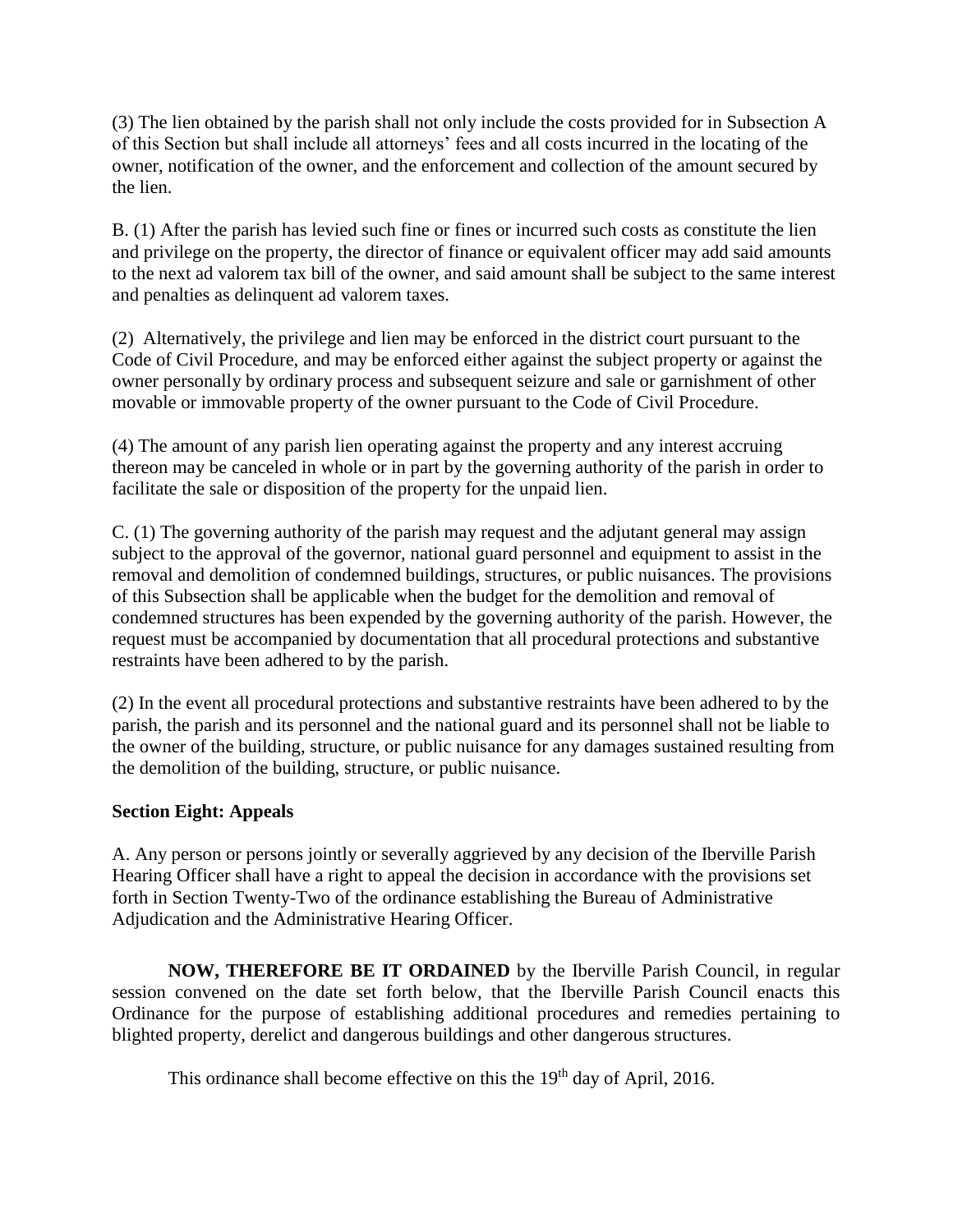(3) The lien obtained by the parish shall not only include the costs provided for in Subsection A of this Section but shall include all attorneys' fees and all costs incurred in the locating of the owner, notification of the owner, and the enforcement and collection of the amount secured by the lien.

B. (1) After the parish has levied such fine or fines or incurred such costs as constitute the lien and privilege on the property, the director of finance or equivalent officer may add said amounts to the next ad valorem tax bill of the owner, and said amount shall be subject to the same interest and penalties as delinquent ad valorem taxes.

(2) Alternatively, the privilege and lien may be enforced in the district court pursuant to the Code of Civil Procedure, and may be enforced either against the subject property or against the owner personally by ordinary process and subsequent seizure and sale or garnishment of other movable or immovable property of the owner pursuant to the Code of Civil Procedure.

(4) The amount of any parish lien operating against the property and any interest accruing thereon may be canceled in whole or in part by the governing authority of the parish in order to facilitate the sale or disposition of the property for the unpaid lien.

C. (1) The governing authority of the parish may request and the adjutant general may assign subject to the approval of the governor, national guard personnel and equipment to assist in the removal and demolition of condemned buildings, structures, or public nuisances. The provisions of this Subsection shall be applicable when the budget for the demolition and removal of condemned structures has been expended by the governing authority of the parish. However, the request must be accompanied by documentation that all procedural protections and substantive restraints have been adhered to by the parish.

(2) In the event all procedural protections and substantive restraints have been adhered to by the parish, the parish and its personnel and the national guard and its personnel shall not be liable to the owner of the building, structure, or public nuisance for any damages sustained resulting from the demolition of the building, structure, or public nuisance.

# **Section Eight: Appeals**

A. Any person or persons jointly or severally aggrieved by any decision of the Iberville Parish Hearing Officer shall have a right to appeal the decision in accordance with the provisions set forth in Section Twenty-Two of the ordinance establishing the Bureau of Administrative Adjudication and the Administrative Hearing Officer.

**NOW, THEREFORE BE IT ORDAINED** by the Iberville Parish Council, in regular session convened on the date set forth below, that the Iberville Parish Council enacts this Ordinance for the purpose of establishing additional procedures and remedies pertaining to blighted property, derelict and dangerous buildings and other dangerous structures.

This ordinance shall become effective on this the 19<sup>th</sup> day of April, 2016.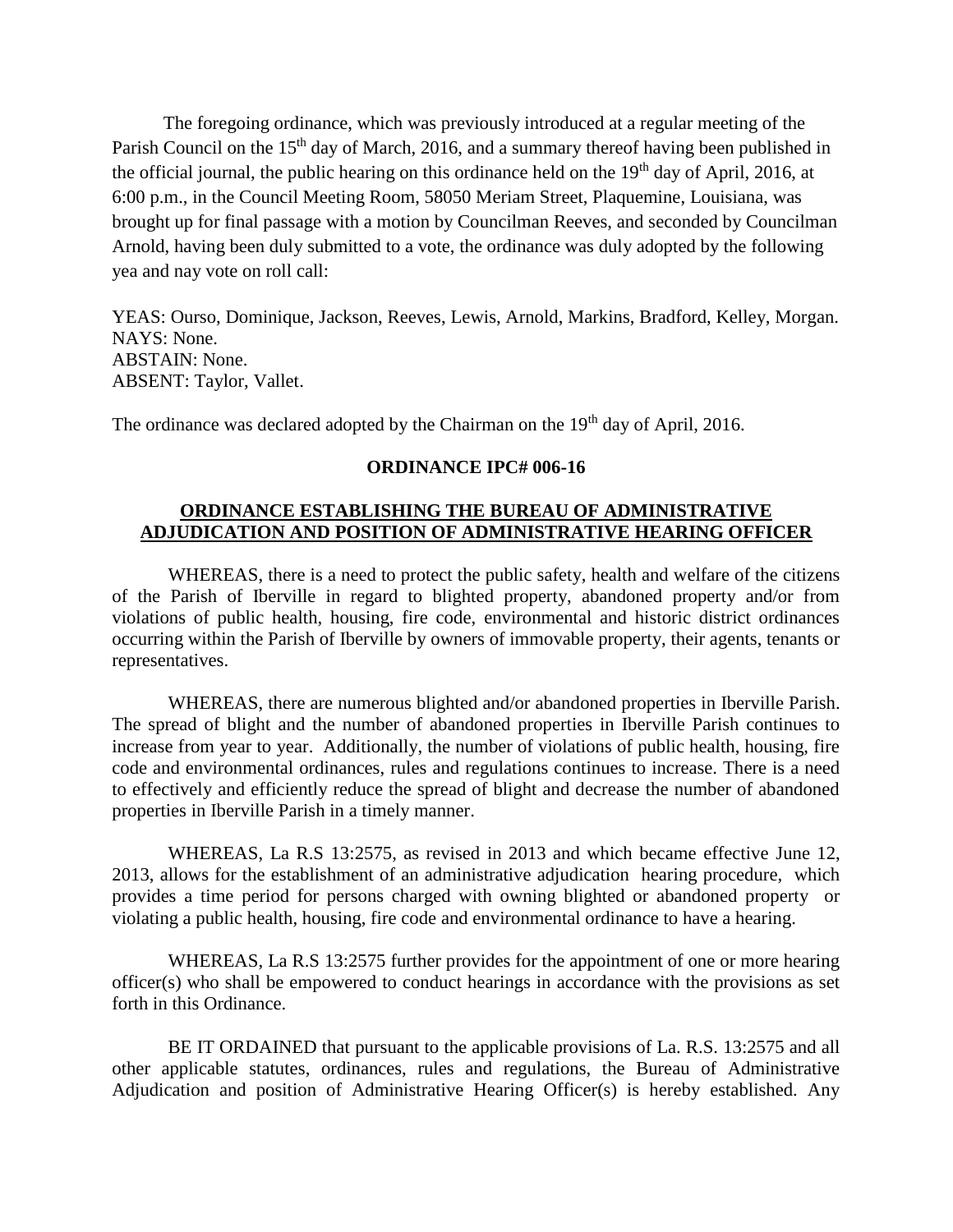The foregoing ordinance, which was previously introduced at a regular meeting of the Parish Council on the 15<sup>th</sup> day of March, 2016, and a summary thereof having been published in the official journal, the public hearing on this ordinance held on the  $19<sup>th</sup>$  day of April, 2016, at 6:00 p.m., in the Council Meeting Room, 58050 Meriam Street, Plaquemine, Louisiana, was brought up for final passage with a motion by Councilman Reeves, and seconded by Councilman Arnold, having been duly submitted to a vote, the ordinance was duly adopted by the following yea and nay vote on roll call:

YEAS: Ourso, Dominique, Jackson, Reeves, Lewis, Arnold, Markins, Bradford, Kelley, Morgan. NAYS: None. ABSTAIN: None. ABSENT: Taylor, Vallet.

The ordinance was declared adopted by the Chairman on the 19<sup>th</sup> day of April, 2016.

#### **ORDINANCE IPC# 006-16**

#### **ORDINANCE ESTABLISHING THE BUREAU OF ADMINISTRATIVE ADJUDICATION AND POSITION OF ADMINISTRATIVE HEARING OFFICER**

WHEREAS, there is a need to protect the public safety, health and welfare of the citizens of the Parish of Iberville in regard to blighted property, abandoned property and/or from violations of public health, housing, fire code, environmental and historic district ordinances occurring within the Parish of Iberville by owners of immovable property, their agents, tenants or representatives.

WHEREAS, there are numerous blighted and/or abandoned properties in Iberville Parish. The spread of blight and the number of abandoned properties in Iberville Parish continues to increase from year to year. Additionally, the number of violations of public health, housing, fire code and environmental ordinances, rules and regulations continues to increase. There is a need to effectively and efficiently reduce the spread of blight and decrease the number of abandoned properties in Iberville Parish in a timely manner.

WHEREAS, La R.S 13:2575, as revised in 2013 and which became effective June 12, 2013, allows for the establishment of an administrative adjudication hearing procedure, which provides a time period for persons charged with owning blighted or abandoned property or violating a public health, housing, fire code and environmental ordinance to have a hearing.

WHEREAS, La R.S 13:2575 further provides for the appointment of one or more hearing officer(s) who shall be empowered to conduct hearings in accordance with the provisions as set forth in this Ordinance.

BE IT ORDAINED that pursuant to the applicable provisions of La. R.S. 13:2575 and all other applicable statutes, ordinances, rules and regulations, the Bureau of Administrative Adjudication and position of Administrative Hearing Officer(s) is hereby established. Any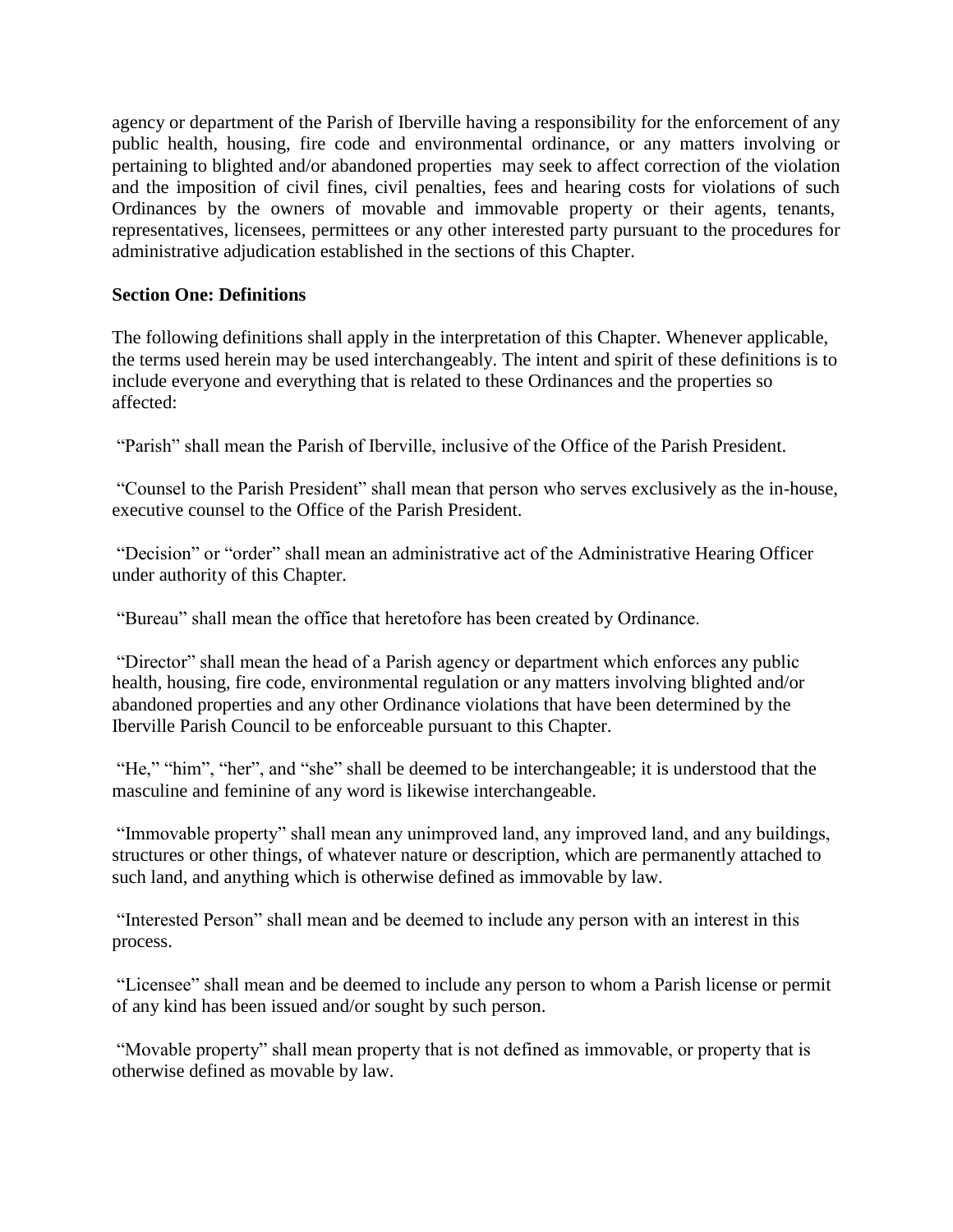agency or department of the Parish of Iberville having a responsibility for the enforcement of any public health, housing, fire code and environmental ordinance, or any matters involving or pertaining to blighted and/or abandoned properties may seek to affect correction of the violation and the imposition of civil fines, civil penalties, fees and hearing costs for violations of such Ordinances by the owners of movable and immovable property or their agents, tenants, representatives, licensees, permittees or any other interested party pursuant to the procedures for administrative adjudication established in the sections of this Chapter.

# **Section One: Definitions**

The following definitions shall apply in the interpretation of this Chapter. Whenever applicable, the terms used herein may be used interchangeably. The intent and spirit of these definitions is to include everyone and everything that is related to these Ordinances and the properties so affected:

"Parish" shall mean the Parish of Iberville, inclusive of the Office of the Parish President.

"Counsel to the Parish President" shall mean that person who serves exclusively as the in-house, executive counsel to the Office of the Parish President.

"Decision" or "order" shall mean an administrative act of the Administrative Hearing Officer under authority of this Chapter.

"Bureau" shall mean the office that heretofore has been created by Ordinance.

"Director" shall mean the head of a Parish agency or department which enforces any public health, housing, fire code, environmental regulation or any matters involving blighted and/or abandoned properties and any other Ordinance violations that have been determined by the Iberville Parish Council to be enforceable pursuant to this Chapter.

"He," "him", "her", and "she" shall be deemed to be interchangeable; it is understood that the masculine and feminine of any word is likewise interchangeable.

"Immovable property" shall mean any unimproved land, any improved land, and any buildings, structures or other things, of whatever nature or description, which are permanently attached to such land, and anything which is otherwise defined as immovable by law.

"Interested Person" shall mean and be deemed to include any person with an interest in this process.

"Licensee" shall mean and be deemed to include any person to whom a Parish license or permit of any kind has been issued and/or sought by such person.

"Movable property" shall mean property that is not defined as immovable, or property that is otherwise defined as movable by law.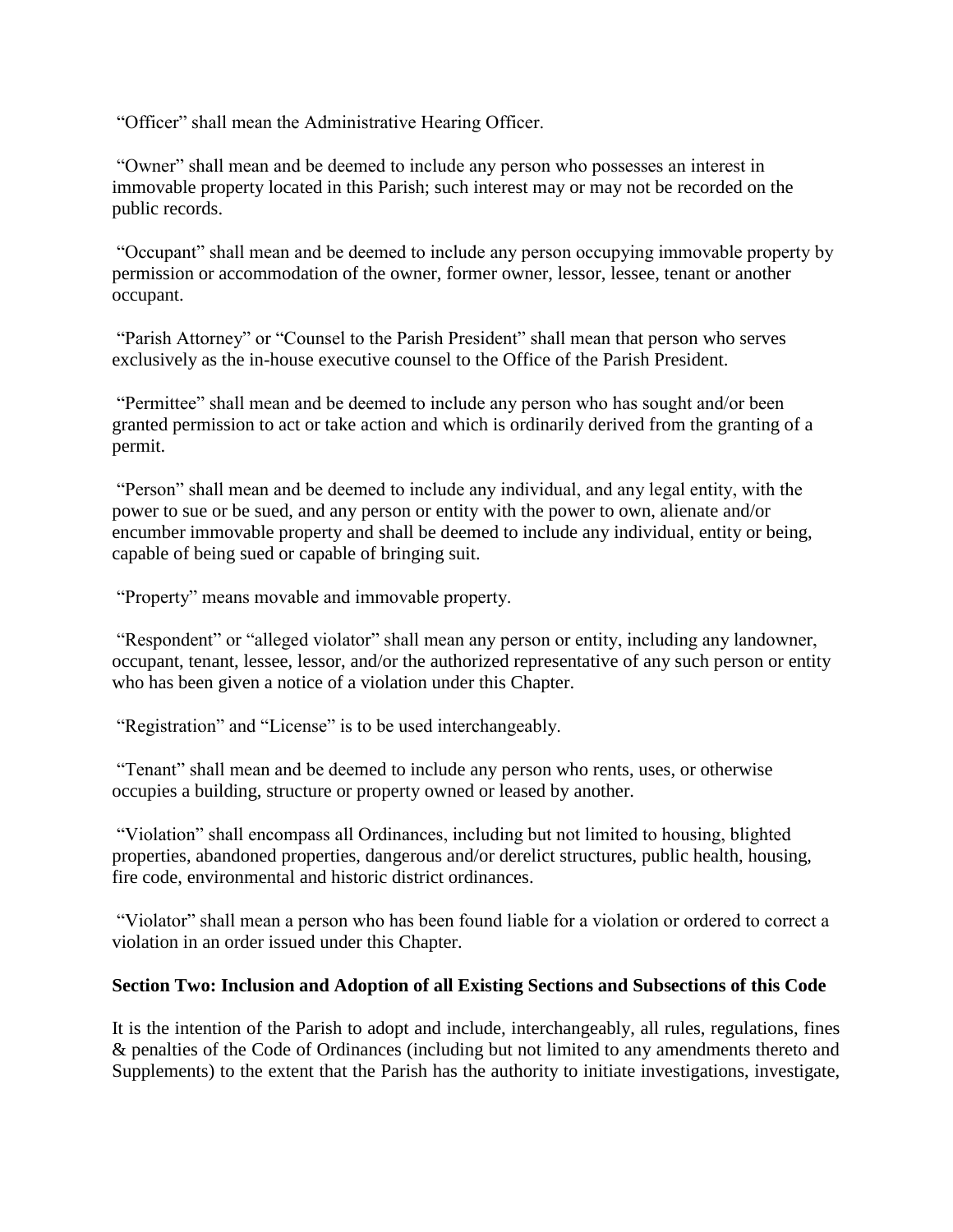"Officer" shall mean the Administrative Hearing Officer.

"Owner" shall mean and be deemed to include any person who possesses an interest in immovable property located in this Parish; such interest may or may not be recorded on the public records.

"Occupant" shall mean and be deemed to include any person occupying immovable property by permission or accommodation of the owner, former owner, lessor, lessee, tenant or another occupant.

"Parish Attorney" or "Counsel to the Parish President" shall mean that person who serves exclusively as the in-house executive counsel to the Office of the Parish President.

"Permittee" shall mean and be deemed to include any person who has sought and/or been granted permission to act or take action and which is ordinarily derived from the granting of a permit.

"Person" shall mean and be deemed to include any individual, and any legal entity, with the power to sue or be sued, and any person or entity with the power to own, alienate and/or encumber immovable property and shall be deemed to include any individual, entity or being, capable of being sued or capable of bringing suit.

"Property" means movable and immovable property.

"Respondent" or "alleged violator" shall mean any person or entity, including any landowner, occupant, tenant, lessee, lessor, and/or the authorized representative of any such person or entity who has been given a notice of a violation under this Chapter.

"Registration" and "License" is to be used interchangeably.

"Tenant" shall mean and be deemed to include any person who rents, uses, or otherwise occupies a building, structure or property owned or leased by another.

"Violation" shall encompass all Ordinances, including but not limited to housing, blighted properties, abandoned properties, dangerous and/or derelict structures, public health, housing, fire code, environmental and historic district ordinances.

"Violator" shall mean a person who has been found liable for a violation or ordered to correct a violation in an order issued under this Chapter.

#### **Section Two: Inclusion and Adoption of all Existing Sections and Subsections of this Code**

It is the intention of the Parish to adopt and include, interchangeably, all rules, regulations, fines & penalties of the Code of Ordinances (including but not limited to any amendments thereto and Supplements) to the extent that the Parish has the authority to initiate investigations, investigate,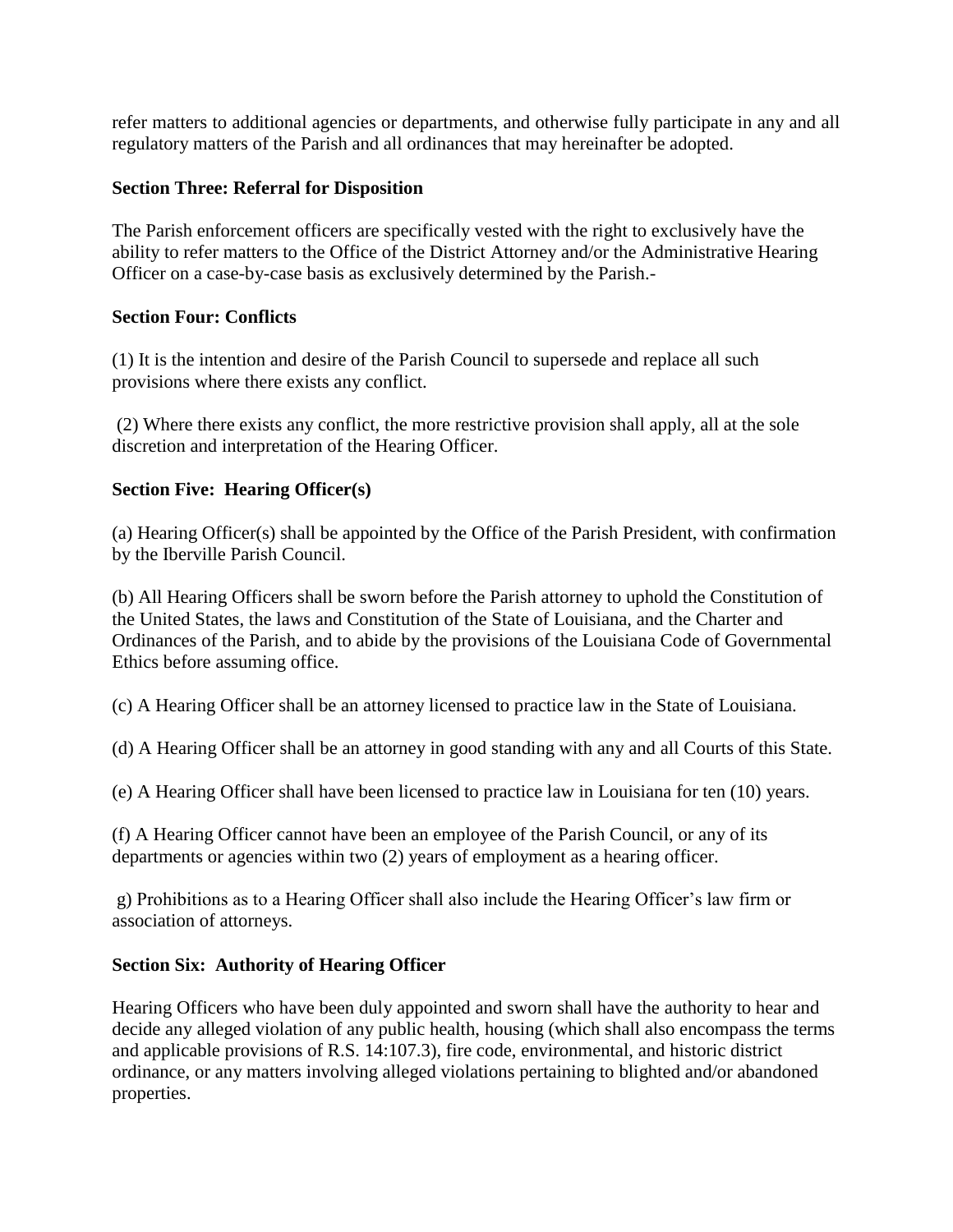refer matters to additional agencies or departments, and otherwise fully participate in any and all regulatory matters of the Parish and all ordinances that may hereinafter be adopted.

# **Section Three: Referral for Disposition**

The Parish enforcement officers are specifically vested with the right to exclusively have the ability to refer matters to the Office of the District Attorney and/or the Administrative Hearing Officer on a case-by-case basis as exclusively determined by the Parish.-

# **Section Four: Conflicts**

(1) It is the intention and desire of the Parish Council to supersede and replace all such provisions where there exists any conflict.

(2) Where there exists any conflict, the more restrictive provision shall apply, all at the sole discretion and interpretation of the Hearing Officer.

# **Section Five: Hearing Officer(s)**

(a) Hearing Officer(s) shall be appointed by the Office of the Parish President, with confirmation by the Iberville Parish Council.

(b) All Hearing Officers shall be sworn before the Parish attorney to uphold the Constitution of the United States, the laws and Constitution of the State of Louisiana, and the Charter and Ordinances of the Parish, and to abide by the provisions of the Louisiana Code of Governmental Ethics before assuming office.

(c) A Hearing Officer shall be an attorney licensed to practice law in the State of Louisiana.

(d) A Hearing Officer shall be an attorney in good standing with any and all Courts of this State.

(e) A Hearing Officer shall have been licensed to practice law in Louisiana for ten (10) years.

(f) A Hearing Officer cannot have been an employee of the Parish Council, or any of its departments or agencies within two (2) years of employment as a hearing officer.

g) Prohibitions as to a Hearing Officer shall also include the Hearing Officer's law firm or association of attorneys.

# **Section Six: Authority of Hearing Officer**

Hearing Officers who have been duly appointed and sworn shall have the authority to hear and decide any alleged violation of any public health, housing (which shall also encompass the terms and applicable provisions of R.S. 14:107.3), fire code, environmental, and historic district ordinance, or any matters involving alleged violations pertaining to blighted and/or abandoned properties.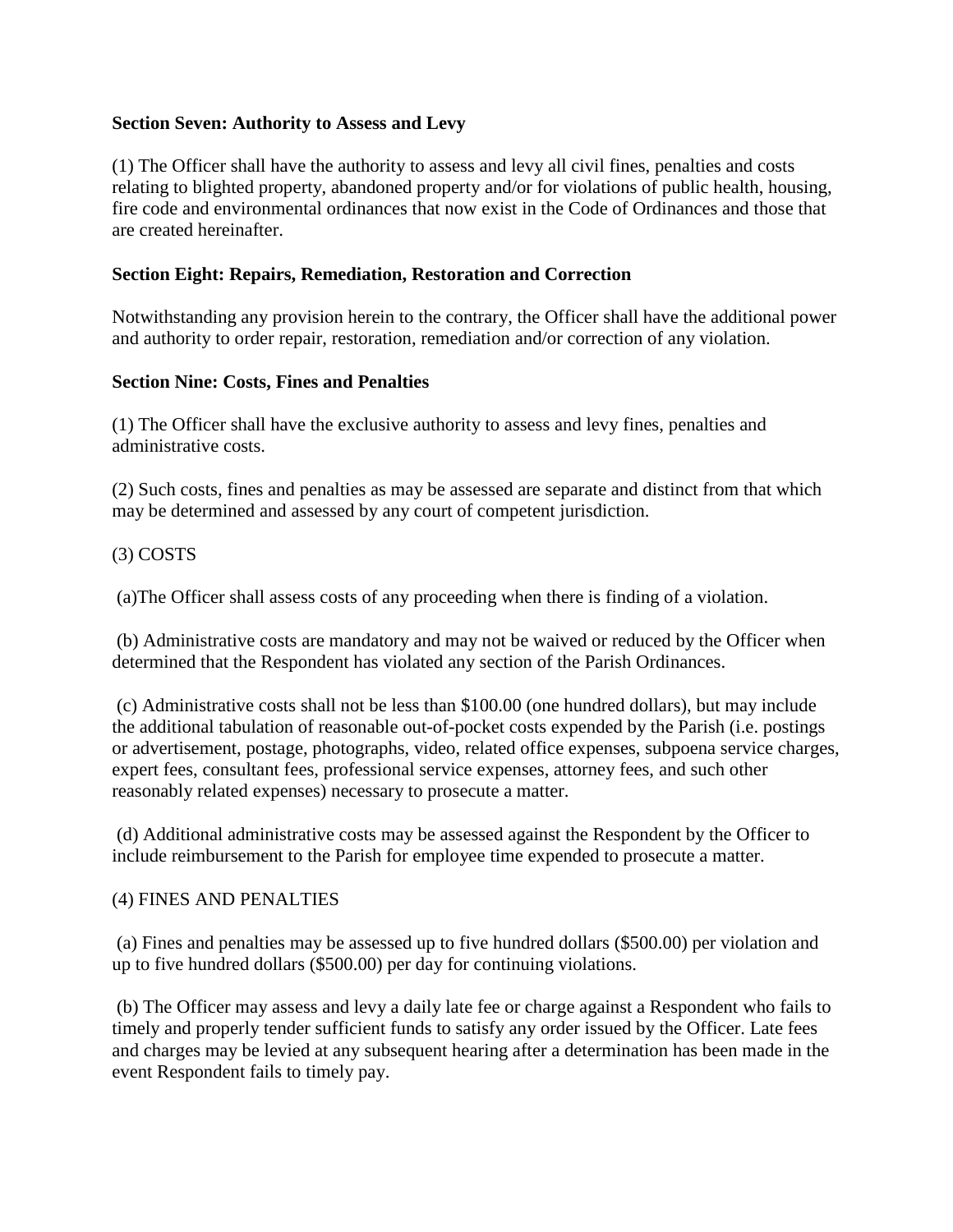## **Section Seven: Authority to Assess and Levy**

(1) The Officer shall have the authority to assess and levy all civil fines, penalties and costs relating to blighted property, abandoned property and/or for violations of public health, housing, fire code and environmental ordinances that now exist in the Code of Ordinances and those that are created hereinafter.

## **Section Eight: Repairs, Remediation, Restoration and Correction**

Notwithstanding any provision herein to the contrary, the Officer shall have the additional power and authority to order repair, restoration, remediation and/or correction of any violation.

## **Section Nine: Costs, Fines and Penalties**

(1) The Officer shall have the exclusive authority to assess and levy fines, penalties and administrative costs.

(2) Such costs, fines and penalties as may be assessed are separate and distinct from that which may be determined and assessed by any court of competent jurisdiction.

# (3) COSTS

(a)The Officer shall assess costs of any proceeding when there is finding of a violation.

(b) Administrative costs are mandatory and may not be waived or reduced by the Officer when determined that the Respondent has violated any section of the Parish Ordinances.

(c) Administrative costs shall not be less than \$100.00 (one hundred dollars), but may include the additional tabulation of reasonable out-of-pocket costs expended by the Parish (i.e. postings or advertisement, postage, photographs, video, related office expenses, subpoena service charges, expert fees, consultant fees, professional service expenses, attorney fees, and such other reasonably related expenses) necessary to prosecute a matter.

(d) Additional administrative costs may be assessed against the Respondent by the Officer to include reimbursement to the Parish for employee time expended to prosecute a matter.

#### (4) FINES AND PENALTIES

(a) Fines and penalties may be assessed up to five hundred dollars (\$500.00) per violation and up to five hundred dollars (\$500.00) per day for continuing violations.

(b) The Officer may assess and levy a daily late fee or charge against a Respondent who fails to timely and properly tender sufficient funds to satisfy any order issued by the Officer. Late fees and charges may be levied at any subsequent hearing after a determination has been made in the event Respondent fails to timely pay.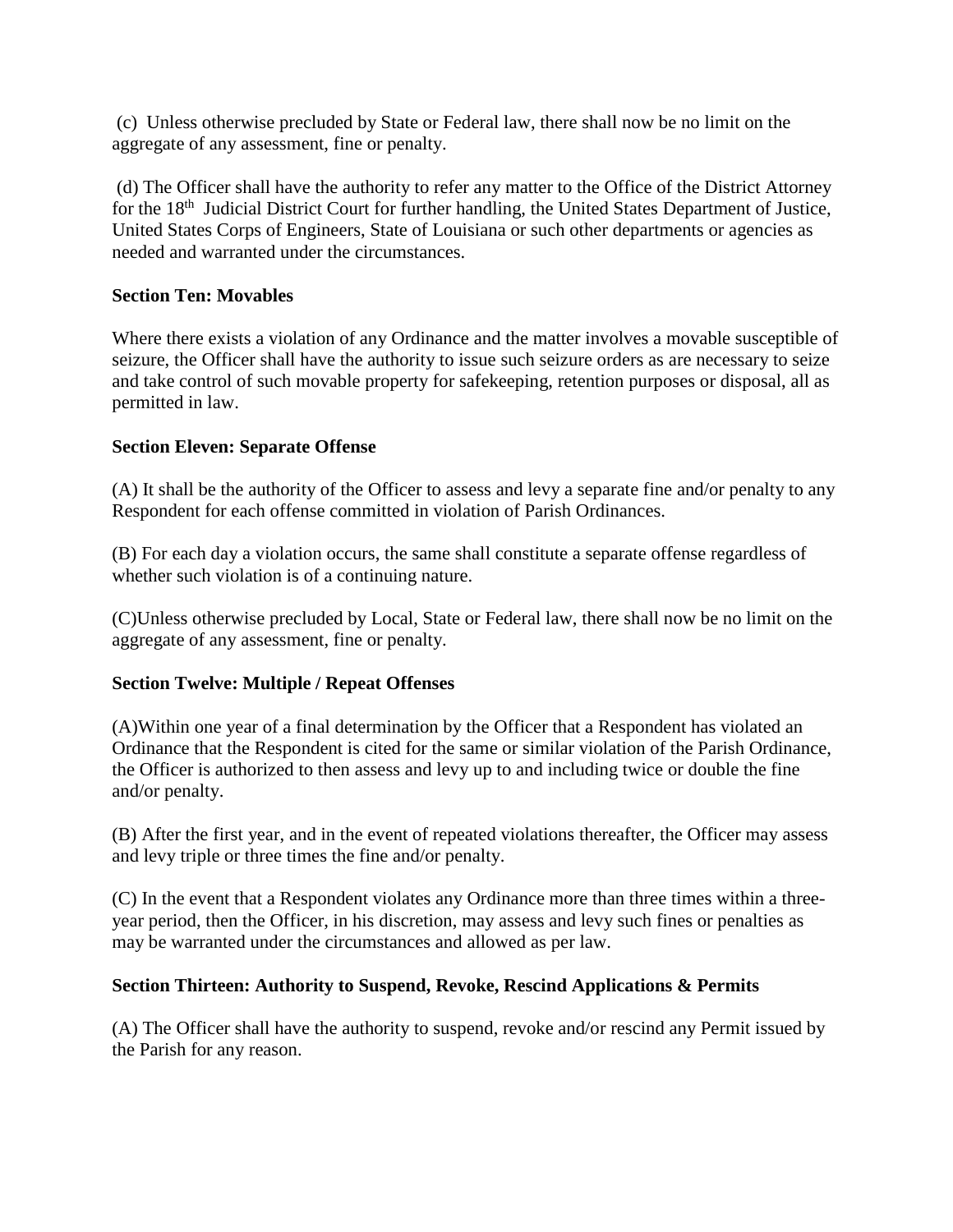(c) Unless otherwise precluded by State or Federal law, there shall now be no limit on the aggregate of any assessment, fine or penalty.

(d) The Officer shall have the authority to refer any matter to the Office of the District Attorney for the 18<sup>th</sup> Judicial District Court for further handling, the United States Department of Justice, United States Corps of Engineers, State of Louisiana or such other departments or agencies as needed and warranted under the circumstances.

# **Section Ten: Movables**

Where there exists a violation of any Ordinance and the matter involves a movable susceptible of seizure, the Officer shall have the authority to issue such seizure orders as are necessary to seize and take control of such movable property for safekeeping, retention purposes or disposal, all as permitted in law.

#### **Section Eleven: Separate Offense**

(A) It shall be the authority of the Officer to assess and levy a separate fine and/or penalty to any Respondent for each offense committed in violation of Parish Ordinances.

(B) For each day a violation occurs, the same shall constitute a separate offense regardless of whether such violation is of a continuing nature.

(C)Unless otherwise precluded by Local, State or Federal law, there shall now be no limit on the aggregate of any assessment, fine or penalty.

# **Section Twelve: Multiple / Repeat Offenses**

(A)Within one year of a final determination by the Officer that a Respondent has violated an Ordinance that the Respondent is cited for the same or similar violation of the Parish Ordinance, the Officer is authorized to then assess and levy up to and including twice or double the fine and/or penalty.

(B) After the first year, and in the event of repeated violations thereafter, the Officer may assess and levy triple or three times the fine and/or penalty.

(C) In the event that a Respondent violates any Ordinance more than three times within a threeyear period, then the Officer, in his discretion, may assess and levy such fines or penalties as may be warranted under the circumstances and allowed as per law.

#### **Section Thirteen: Authority to Suspend, Revoke, Rescind Applications & Permits**

(A) The Officer shall have the authority to suspend, revoke and/or rescind any Permit issued by the Parish for any reason.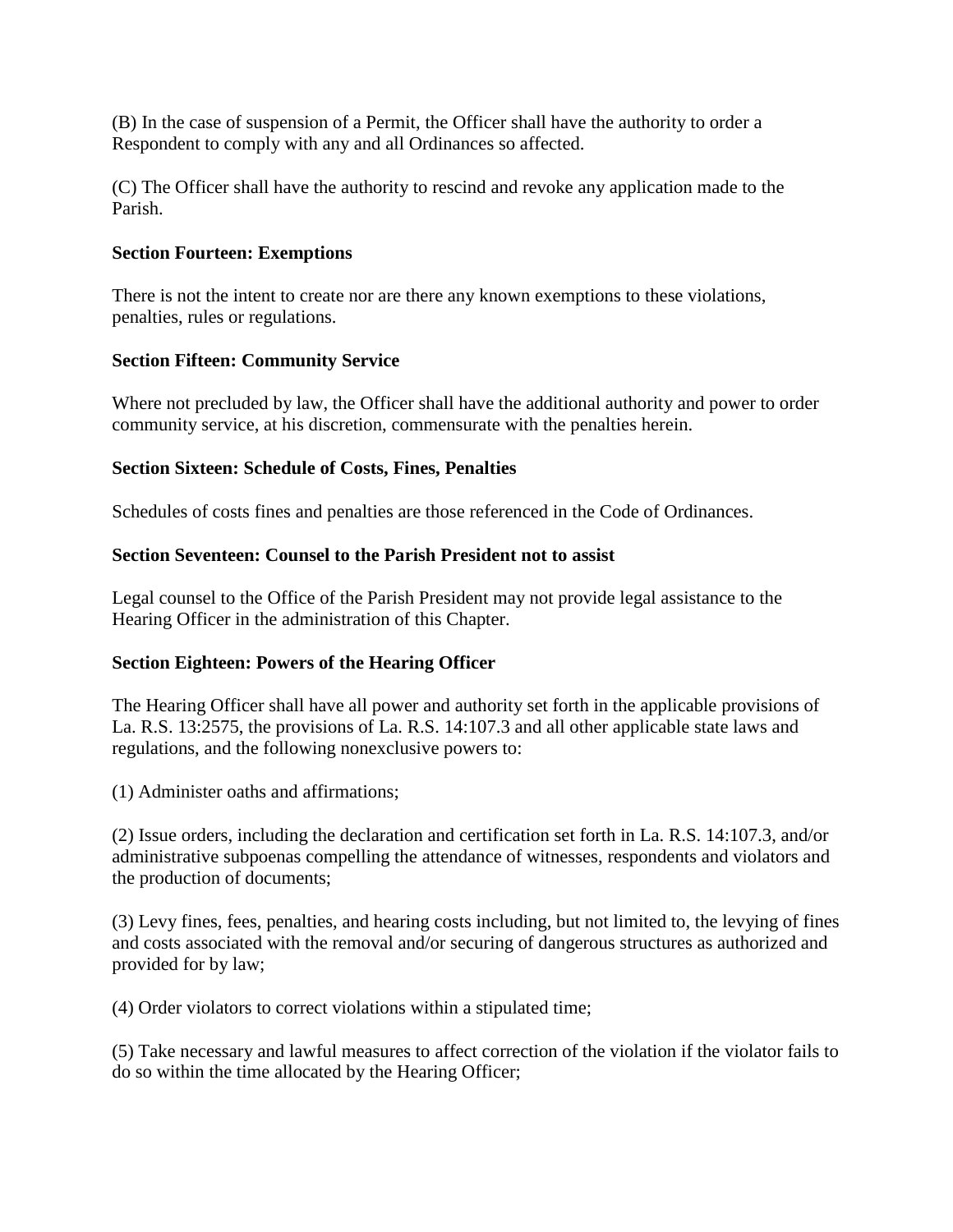(B) In the case of suspension of a Permit, the Officer shall have the authority to order a Respondent to comply with any and all Ordinances so affected.

(C) The Officer shall have the authority to rescind and revoke any application made to the Parish.

## **Section Fourteen: Exemptions**

There is not the intent to create nor are there any known exemptions to these violations, penalties, rules or regulations.

## **Section Fifteen: Community Service**

Where not precluded by law, the Officer shall have the additional authority and power to order community service, at his discretion, commensurate with the penalties herein.

## **Section Sixteen: Schedule of Costs, Fines, Penalties**

Schedules of costs fines and penalties are those referenced in the Code of Ordinances.

## **Section Seventeen: Counsel to the Parish President not to assist**

Legal counsel to the Office of the Parish President may not provide legal assistance to the Hearing Officer in the administration of this Chapter.

# **Section Eighteen: Powers of the Hearing Officer**

The Hearing Officer shall have all power and authority set forth in the applicable provisions of La. R.S. 13:2575, the provisions of La. R.S. 14:107.3 and all other applicable state laws and regulations, and the following nonexclusive powers to:

(1) Administer oaths and affirmations;

(2) Issue orders, including the declaration and certification set forth in La. R.S. 14:107.3, and/or administrative subpoenas compelling the attendance of witnesses, respondents and violators and the production of documents;

(3) Levy fines, fees, penalties, and hearing costs including, but not limited to, the levying of fines and costs associated with the removal and/or securing of dangerous structures as authorized and provided for by law;

(4) Order violators to correct violations within a stipulated time;

(5) Take necessary and lawful measures to affect correction of the violation if the violator fails to do so within the time allocated by the Hearing Officer;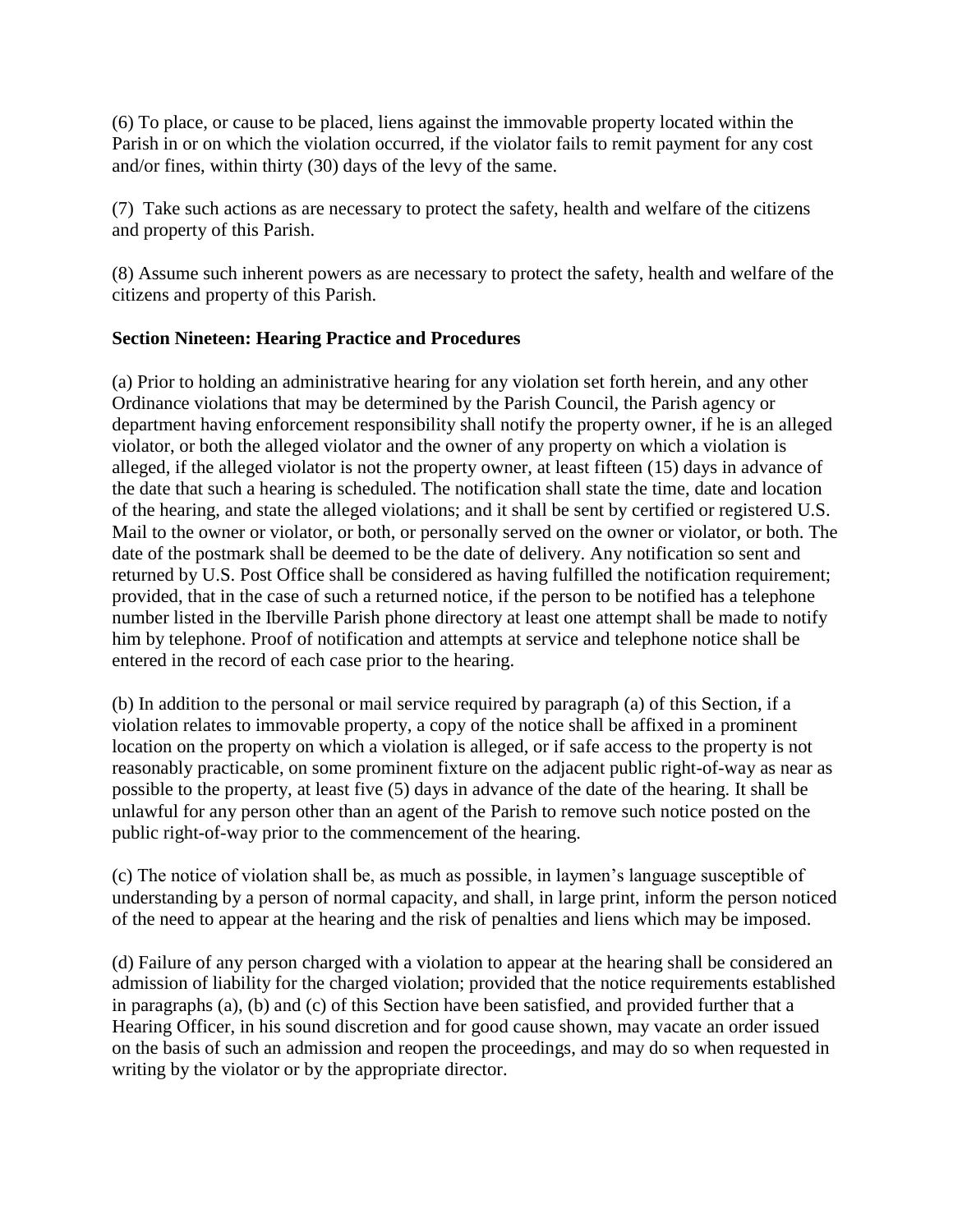(6) To place, or cause to be placed, liens against the immovable property located within the Parish in or on which the violation occurred, if the violator fails to remit payment for any cost and/or fines, within thirty (30) days of the levy of the same.

(7) Take such actions as are necessary to protect the safety, health and welfare of the citizens and property of this Parish.

(8) Assume such inherent powers as are necessary to protect the safety, health and welfare of the citizens and property of this Parish.

# **Section Nineteen: Hearing Practice and Procedures**

(a) Prior to holding an administrative hearing for any violation set forth herein, and any other Ordinance violations that may be determined by the Parish Council, the Parish agency or department having enforcement responsibility shall notify the property owner, if he is an alleged violator, or both the alleged violator and the owner of any property on which a violation is alleged, if the alleged violator is not the property owner, at least fifteen (15) days in advance of the date that such a hearing is scheduled. The notification shall state the time, date and location of the hearing, and state the alleged violations; and it shall be sent by certified or registered U.S. Mail to the owner or violator, or both, or personally served on the owner or violator, or both. The date of the postmark shall be deemed to be the date of delivery. Any notification so sent and returned by U.S. Post Office shall be considered as having fulfilled the notification requirement; provided, that in the case of such a returned notice, if the person to be notified has a telephone number listed in the Iberville Parish phone directory at least one attempt shall be made to notify him by telephone. Proof of notification and attempts at service and telephone notice shall be entered in the record of each case prior to the hearing.

(b) In addition to the personal or mail service required by paragraph (a) of this Section, if a violation relates to immovable property, a copy of the notice shall be affixed in a prominent location on the property on which a violation is alleged, or if safe access to the property is not reasonably practicable, on some prominent fixture on the adjacent public right-of-way as near as possible to the property, at least five (5) days in advance of the date of the hearing. It shall be unlawful for any person other than an agent of the Parish to remove such notice posted on the public right-of-way prior to the commencement of the hearing.

(c) The notice of violation shall be, as much as possible, in laymen's language susceptible of understanding by a person of normal capacity, and shall, in large print, inform the person noticed of the need to appear at the hearing and the risk of penalties and liens which may be imposed.

(d) Failure of any person charged with a violation to appear at the hearing shall be considered an admission of liability for the charged violation; provided that the notice requirements established in paragraphs (a), (b) and (c) of this Section have been satisfied, and provided further that a Hearing Officer, in his sound discretion and for good cause shown, may vacate an order issued on the basis of such an admission and reopen the proceedings, and may do so when requested in writing by the violator or by the appropriate director.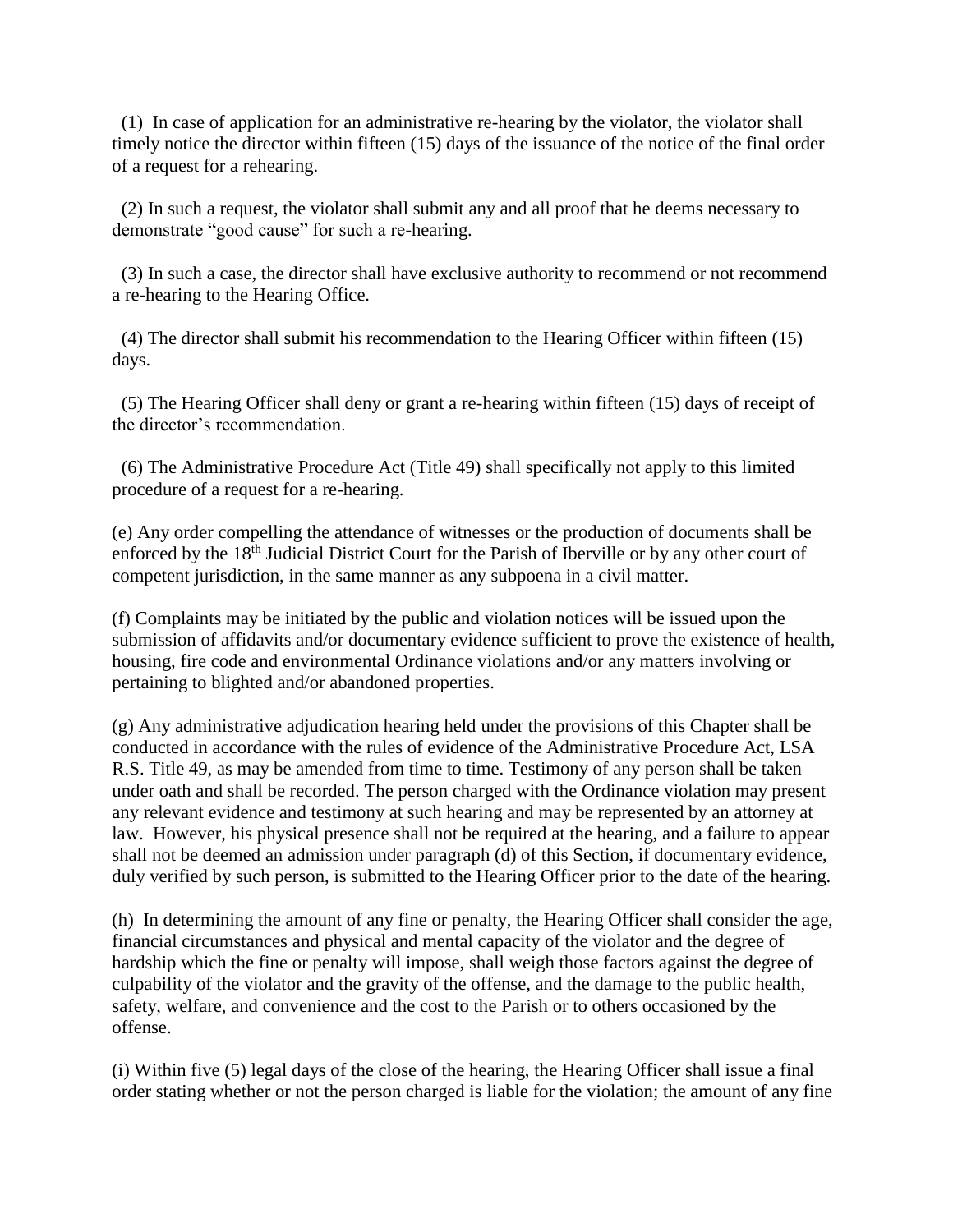(1) In case of application for an administrative re-hearing by the violator, the violator shall timely notice the director within fifteen (15) days of the issuance of the notice of the final order of a request for a rehearing.

 (2) In such a request, the violator shall submit any and all proof that he deems necessary to demonstrate "good cause" for such a re-hearing.

 (3) In such a case, the director shall have exclusive authority to recommend or not recommend a re-hearing to the Hearing Office.

 (4) The director shall submit his recommendation to the Hearing Officer within fifteen (15) days.

 (5) The Hearing Officer shall deny or grant a re-hearing within fifteen (15) days of receipt of the director's recommendation.

 (6) The Administrative Procedure Act (Title 49) shall specifically not apply to this limited procedure of a request for a re-hearing.

(e) Any order compelling the attendance of witnesses or the production of documents shall be enforced by the 18<sup>th</sup> Judicial District Court for the Parish of Iberville or by any other court of competent jurisdiction, in the same manner as any subpoena in a civil matter.

(f) Complaints may be initiated by the public and violation notices will be issued upon the submission of affidavits and/or documentary evidence sufficient to prove the existence of health, housing, fire code and environmental Ordinance violations and/or any matters involving or pertaining to blighted and/or abandoned properties.

(g) Any administrative adjudication hearing held under the provisions of this Chapter shall be conducted in accordance with the rules of evidence of the Administrative Procedure Act, LSA R.S. Title 49, as may be amended from time to time. Testimony of any person shall be taken under oath and shall be recorded. The person charged with the Ordinance violation may present any relevant evidence and testimony at such hearing and may be represented by an attorney at law. However, his physical presence shall not be required at the hearing, and a failure to appear shall not be deemed an admission under paragraph (d) of this Section, if documentary evidence, duly verified by such person, is submitted to the Hearing Officer prior to the date of the hearing.

(h) In determining the amount of any fine or penalty, the Hearing Officer shall consider the age, financial circumstances and physical and mental capacity of the violator and the degree of hardship which the fine or penalty will impose, shall weigh those factors against the degree of culpability of the violator and the gravity of the offense, and the damage to the public health, safety, welfare, and convenience and the cost to the Parish or to others occasioned by the offense.

(i) Within five (5) legal days of the close of the hearing, the Hearing Officer shall issue a final order stating whether or not the person charged is liable for the violation; the amount of any fine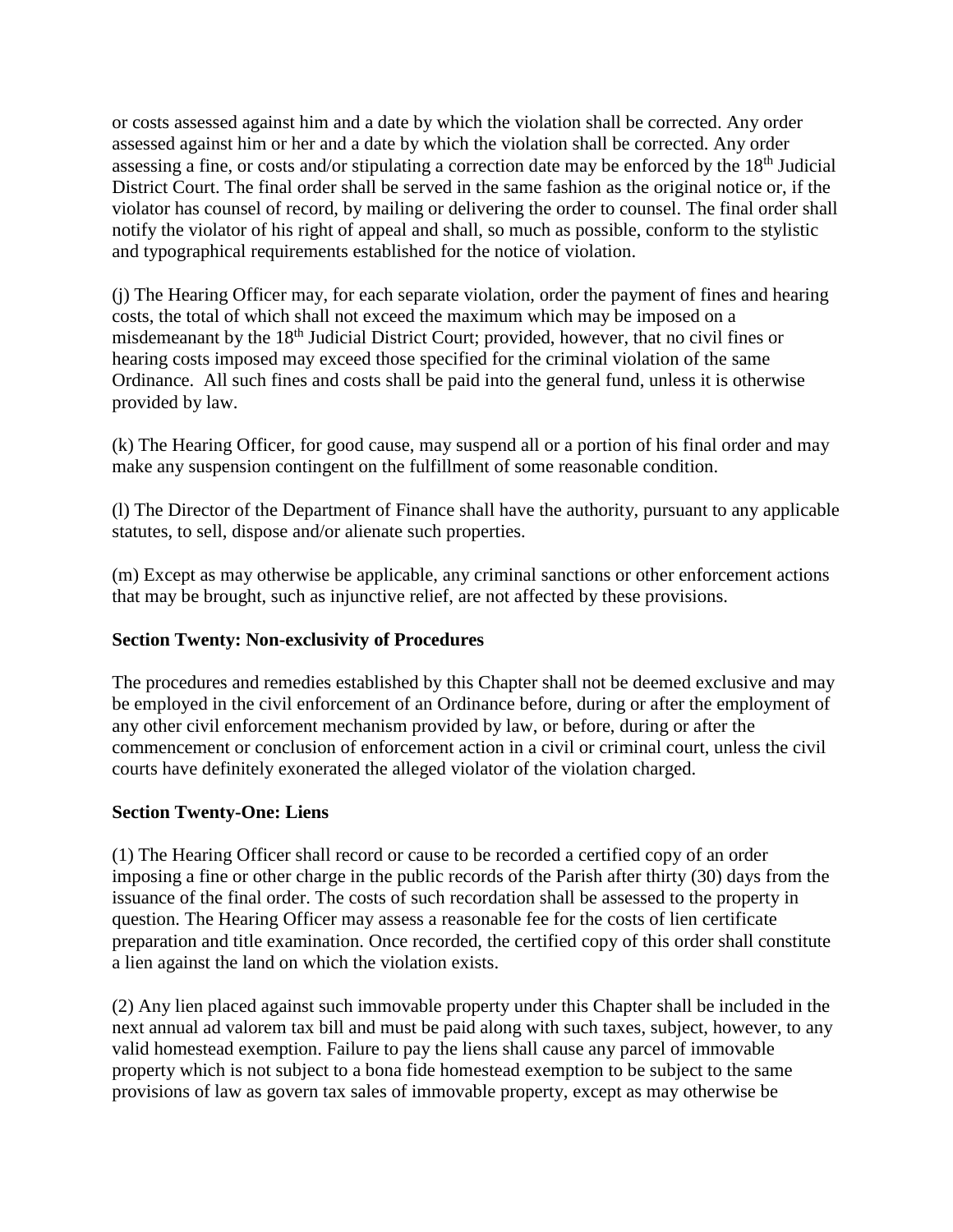or costs assessed against him and a date by which the violation shall be corrected. Any order assessed against him or her and a date by which the violation shall be corrected. Any order assessing a fine, or costs and/or stipulating a correction date may be enforced by the  $18<sup>th</sup>$  Judicial District Court. The final order shall be served in the same fashion as the original notice or, if the violator has counsel of record, by mailing or delivering the order to counsel. The final order shall notify the violator of his right of appeal and shall, so much as possible, conform to the stylistic and typographical requirements established for the notice of violation.

(j) The Hearing Officer may, for each separate violation, order the payment of fines and hearing costs, the total of which shall not exceed the maximum which may be imposed on a misdemeanant by the 18<sup>th</sup> Judicial District Court; provided, however, that no civil fines or hearing costs imposed may exceed those specified for the criminal violation of the same Ordinance. All such fines and costs shall be paid into the general fund, unless it is otherwise provided by law.

(k) The Hearing Officer, for good cause, may suspend all or a portion of his final order and may make any suspension contingent on the fulfillment of some reasonable condition.

(l) The Director of the Department of Finance shall have the authority, pursuant to any applicable statutes, to sell, dispose and/or alienate such properties.

(m) Except as may otherwise be applicable, any criminal sanctions or other enforcement actions that may be brought, such as injunctive relief, are not affected by these provisions.

# **Section Twenty: Non-exclusivity of Procedures**

The procedures and remedies established by this Chapter shall not be deemed exclusive and may be employed in the civil enforcement of an Ordinance before, during or after the employment of any other civil enforcement mechanism provided by law, or before, during or after the commencement or conclusion of enforcement action in a civil or criminal court, unless the civil courts have definitely exonerated the alleged violator of the violation charged.

# **Section Twenty-One: Liens**

(1) The Hearing Officer shall record or cause to be recorded a certified copy of an order imposing a fine or other charge in the public records of the Parish after thirty (30) days from the issuance of the final order. The costs of such recordation shall be assessed to the property in question. The Hearing Officer may assess a reasonable fee for the costs of lien certificate preparation and title examination. Once recorded, the certified copy of this order shall constitute a lien against the land on which the violation exists.

(2) Any lien placed against such immovable property under this Chapter shall be included in the next annual ad valorem tax bill and must be paid along with such taxes, subject, however, to any valid homestead exemption. Failure to pay the liens shall cause any parcel of immovable property which is not subject to a bona fide homestead exemption to be subject to the same provisions of law as govern tax sales of immovable property, except as may otherwise be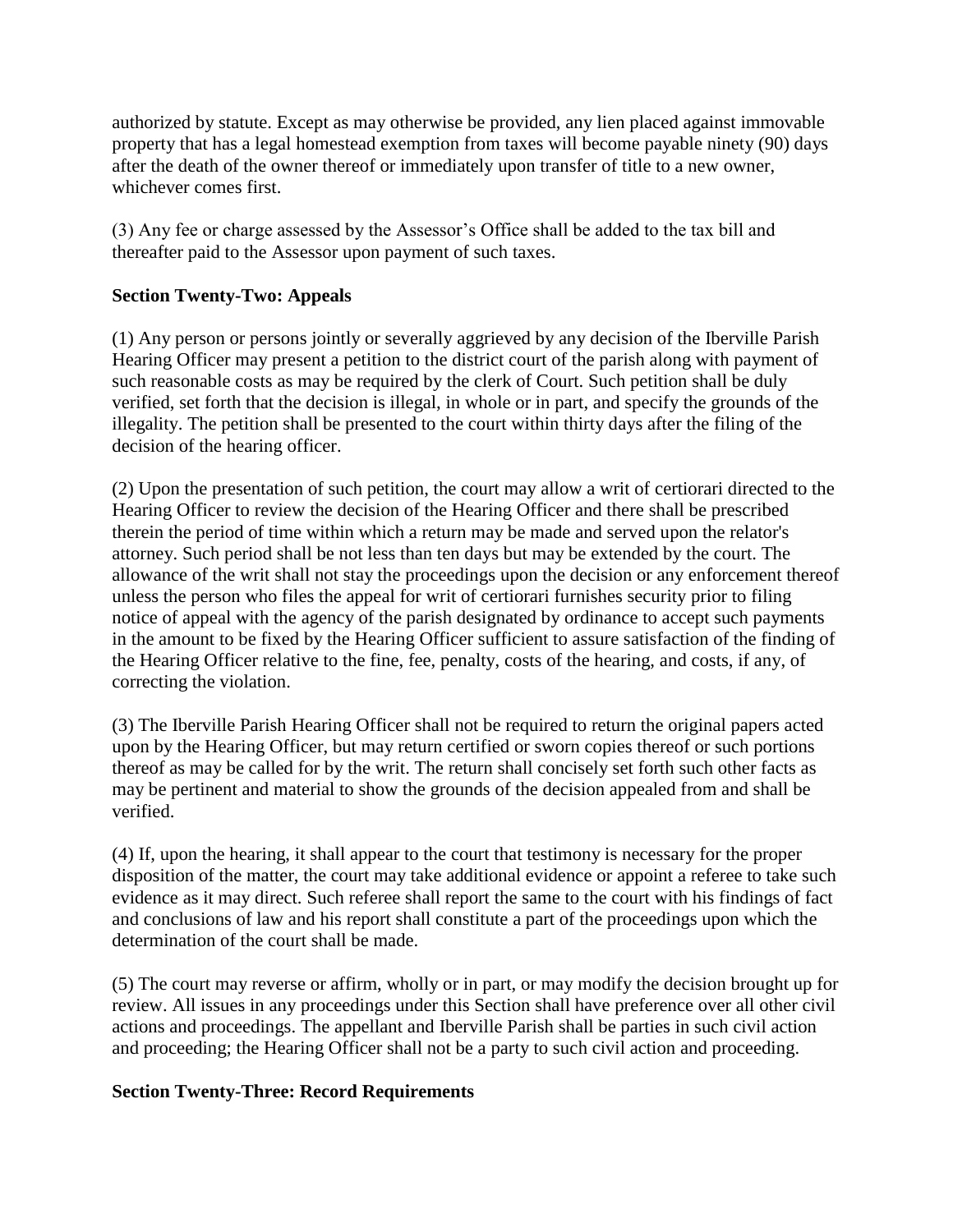authorized by statute. Except as may otherwise be provided, any lien placed against immovable property that has a legal homestead exemption from taxes will become payable ninety (90) days after the death of the owner thereof or immediately upon transfer of title to a new owner, whichever comes first.

(3) Any fee or charge assessed by the Assessor's Office shall be added to the tax bill and thereafter paid to the Assessor upon payment of such taxes.

# **Section Twenty-Two: Appeals**

(1) Any person or persons jointly or severally aggrieved by any decision of the Iberville Parish Hearing Officer may present a petition to the district court of the parish along with payment of such reasonable costs as may be required by the clerk of Court. Such petition shall be duly verified, set forth that the decision is illegal, in whole or in part, and specify the grounds of the illegality. The petition shall be presented to the court within thirty days after the filing of the decision of the hearing officer.

(2) Upon the presentation of such petition, the court may allow a writ of certiorari directed to the Hearing Officer to review the decision of the Hearing Officer and there shall be prescribed therein the period of time within which a return may be made and served upon the relator's attorney. Such period shall be not less than ten days but may be extended by the court. The allowance of the writ shall not stay the proceedings upon the decision or any enforcement thereof unless the person who files the appeal for writ of certiorari furnishes security prior to filing notice of appeal with the agency of the parish designated by ordinance to accept such payments in the amount to be fixed by the Hearing Officer sufficient to assure satisfaction of the finding of the Hearing Officer relative to the fine, fee, penalty, costs of the hearing, and costs, if any, of correcting the violation.

(3) The Iberville Parish Hearing Officer shall not be required to return the original papers acted upon by the Hearing Officer, but may return certified or sworn copies thereof or such portions thereof as may be called for by the writ. The return shall concisely set forth such other facts as may be pertinent and material to show the grounds of the decision appealed from and shall be verified.

(4) If, upon the hearing, it shall appear to the court that testimony is necessary for the proper disposition of the matter, the court may take additional evidence or appoint a referee to take such evidence as it may direct. Such referee shall report the same to the court with his findings of fact and conclusions of law and his report shall constitute a part of the proceedings upon which the determination of the court shall be made.

(5) The court may reverse or affirm, wholly or in part, or may modify the decision brought up for review. All issues in any proceedings under this Section shall have preference over all other civil actions and proceedings. The appellant and Iberville Parish shall be parties in such civil action and proceeding; the Hearing Officer shall not be a party to such civil action and proceeding.

#### **Section Twenty-Three: Record Requirements**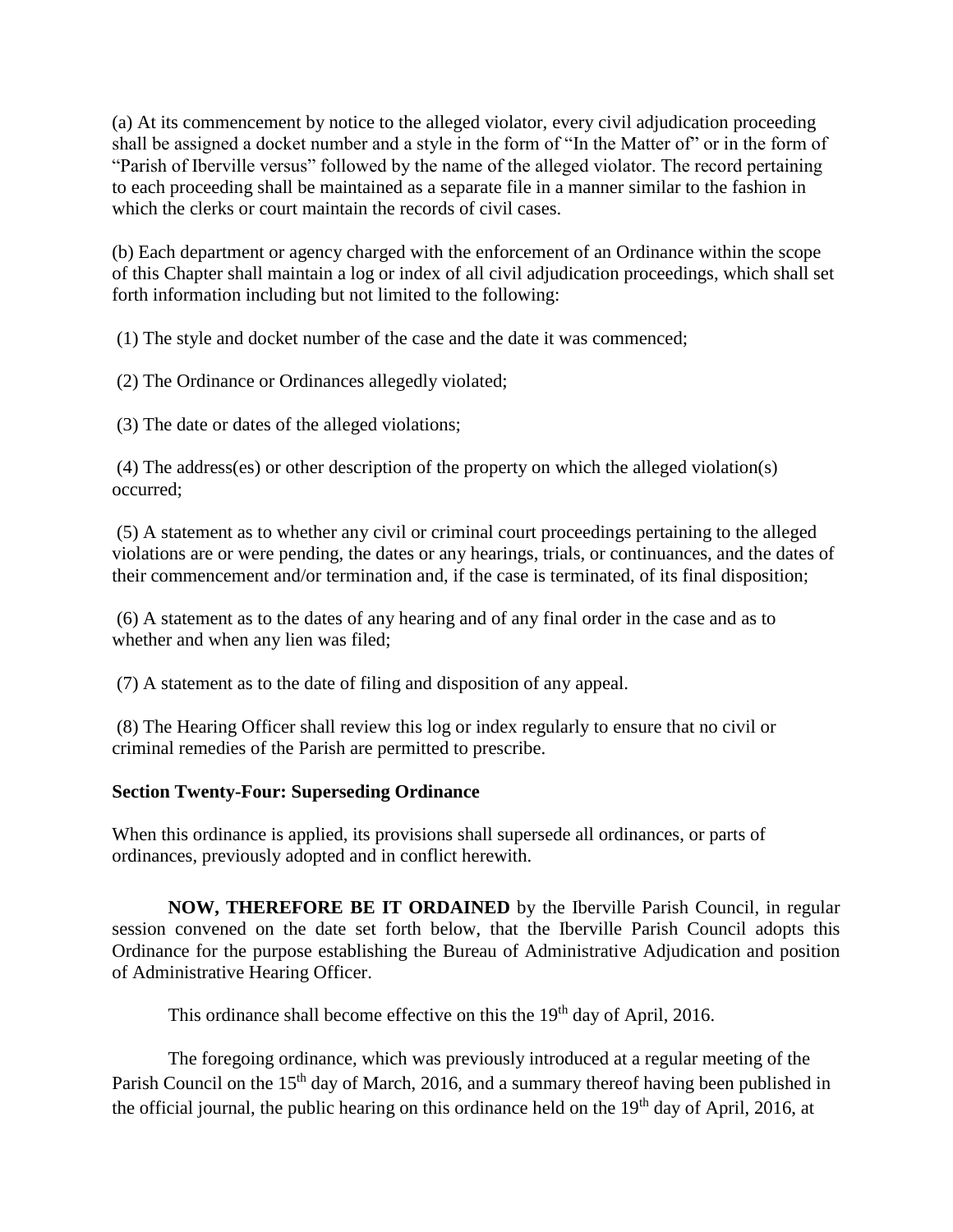(a) At its commencement by notice to the alleged violator, every civil adjudication proceeding shall be assigned a docket number and a style in the form of "In the Matter of" or in the form of "Parish of Iberville versus" followed by the name of the alleged violator. The record pertaining to each proceeding shall be maintained as a separate file in a manner similar to the fashion in which the clerks or court maintain the records of civil cases.

(b) Each department or agency charged with the enforcement of an Ordinance within the scope of this Chapter shall maintain a log or index of all civil adjudication proceedings, which shall set forth information including but not limited to the following:

(1) The style and docket number of the case and the date it was commenced;

(2) The Ordinance or Ordinances allegedly violated;

(3) The date or dates of the alleged violations;

(4) The address(es) or other description of the property on which the alleged violation(s) occurred;

(5) A statement as to whether any civil or criminal court proceedings pertaining to the alleged violations are or were pending, the dates or any hearings, trials, or continuances, and the dates of their commencement and/or termination and, if the case is terminated, of its final disposition;

(6) A statement as to the dates of any hearing and of any final order in the case and as to whether and when any lien was filed;

(7) A statement as to the date of filing and disposition of any appeal.

(8) The Hearing Officer shall review this log or index regularly to ensure that no civil or criminal remedies of the Parish are permitted to prescribe.

# **Section Twenty-Four: Superseding Ordinance**

When this ordinance is applied, its provisions shall supersede all ordinances, or parts of ordinances, previously adopted and in conflict herewith.

**NOW, THEREFORE BE IT ORDAINED** by the Iberville Parish Council, in regular session convened on the date set forth below, that the Iberville Parish Council adopts this Ordinance for the purpose establishing the Bureau of Administrative Adjudication and position of Administrative Hearing Officer.

This ordinance shall become effective on this the  $19<sup>th</sup>$  day of April, 2016.

 The foregoing ordinance, which was previously introduced at a regular meeting of the Parish Council on the 15<sup>th</sup> day of March, 2016, and a summary thereof having been published in the official journal, the public hearing on this ordinance held on the  $19<sup>th</sup>$  day of April, 2016, at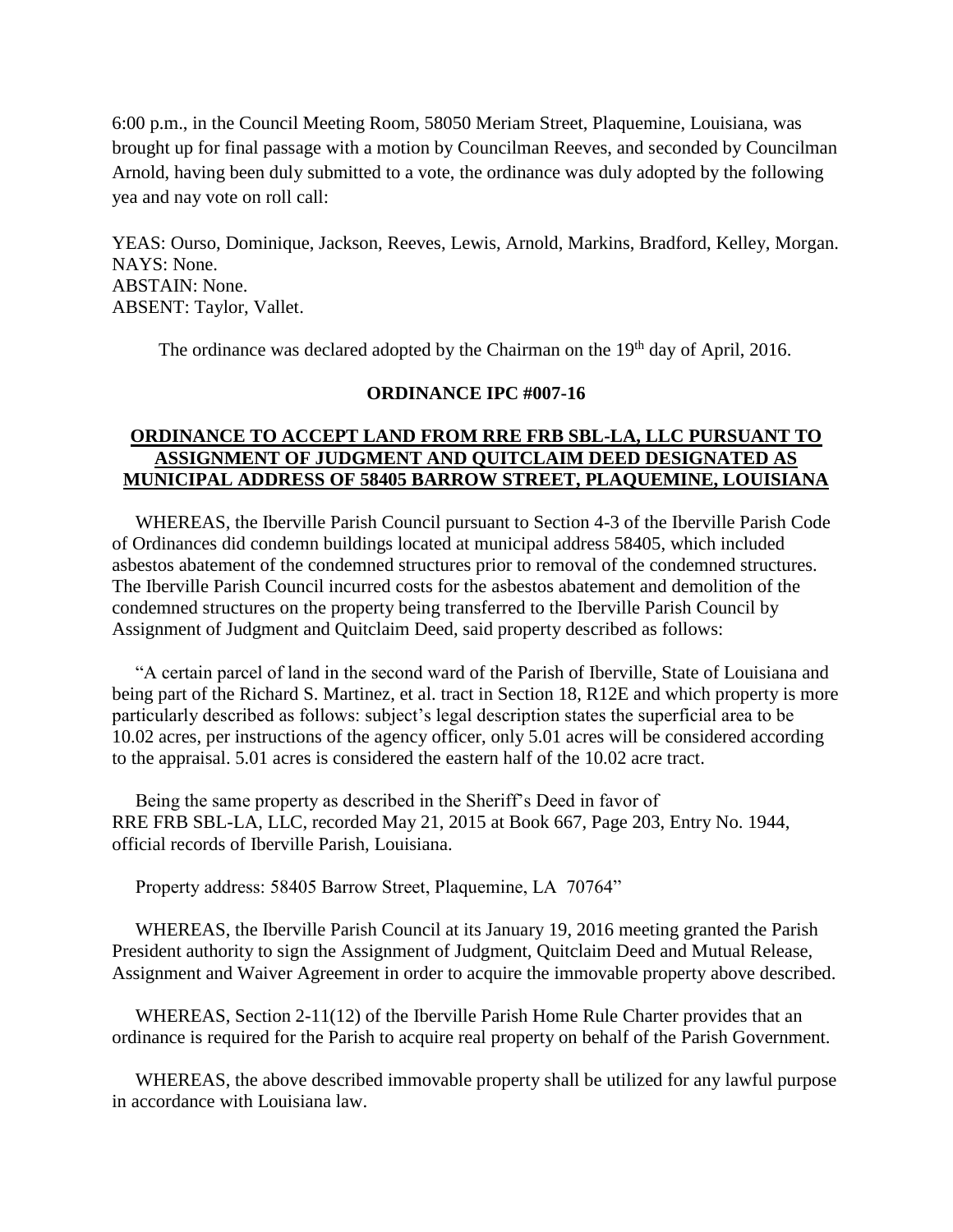6:00 p.m., in the Council Meeting Room, 58050 Meriam Street, Plaquemine, Louisiana, was brought up for final passage with a motion by Councilman Reeves, and seconded by Councilman Arnold, having been duly submitted to a vote, the ordinance was duly adopted by the following yea and nay vote on roll call:

YEAS: Ourso, Dominique, Jackson, Reeves, Lewis, Arnold, Markins, Bradford, Kelley, Morgan. NAYS: None. ABSTAIN: None. ABSENT: Taylor, Vallet.

The ordinance was declared adopted by the Chairman on the 19<sup>th</sup> day of April, 2016.

#### **ORDINANCE IPC #007-16**

## **ORDINANCE TO ACCEPT LAND FROM RRE FRB SBL-LA, LLC PURSUANT TO ASSIGNMENT OF JUDGMENT AND QUITCLAIM DEED DESIGNATED AS MUNICIPAL ADDRESS OF 58405 BARROW STREET, PLAQUEMINE, LOUISIANA**

 WHEREAS, the Iberville Parish Council pursuant to Section 4-3 of the Iberville Parish Code of Ordinances did condemn buildings located at municipal address 58405, which included asbestos abatement of the condemned structures prior to removal of the condemned structures. The Iberville Parish Council incurred costs for the asbestos abatement and demolition of the condemned structures on the property being transferred to the Iberville Parish Council by Assignment of Judgment and Quitclaim Deed, said property described as follows:

 "A certain parcel of land in the second ward of the Parish of Iberville, State of Louisiana and being part of the Richard S. Martinez, et al. tract in Section 18, R12E and which property is more particularly described as follows: subject's legal description states the superficial area to be 10.02 acres, per instructions of the agency officer, only 5.01 acres will be considered according to the appraisal. 5.01 acres is considered the eastern half of the 10.02 acre tract.

 Being the same property as described in the Sheriff's Deed in favor of RRE FRB SBL-LA, LLC, recorded May 21, 2015 at Book 667, Page 203, Entry No. 1944, official records of Iberville Parish, Louisiana.

Property address: 58405 Barrow Street, Plaquemine, LA 70764"

 WHEREAS, the Iberville Parish Council at its January 19, 2016 meeting granted the Parish President authority to sign the Assignment of Judgment, Quitclaim Deed and Mutual Release, Assignment and Waiver Agreement in order to acquire the immovable property above described.

 WHEREAS, Section 2-11(12) of the Iberville Parish Home Rule Charter provides that an ordinance is required for the Parish to acquire real property on behalf of the Parish Government.

 WHEREAS, the above described immovable property shall be utilized for any lawful purpose in accordance with Louisiana law.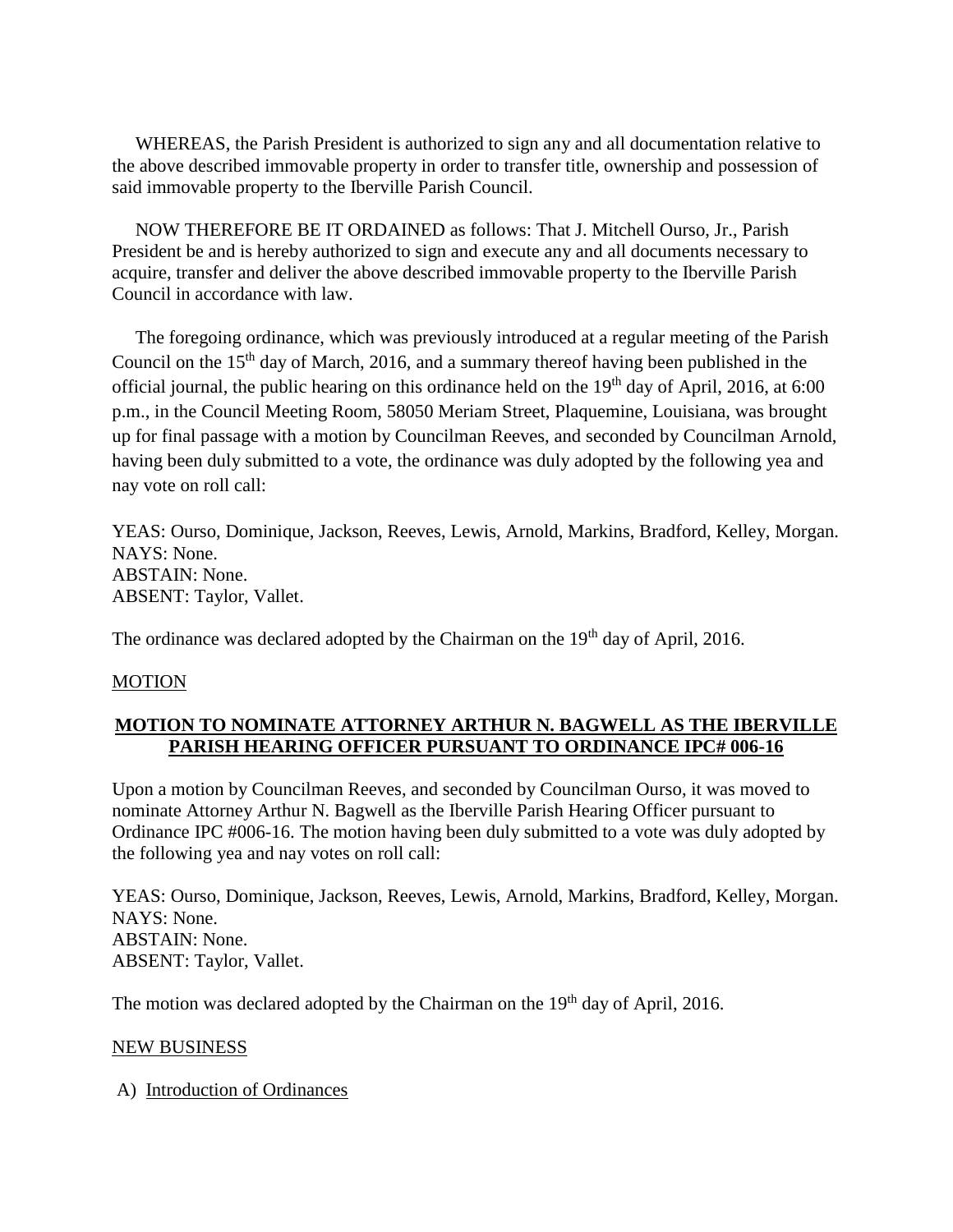WHEREAS, the Parish President is authorized to sign any and all documentation relative to the above described immovable property in order to transfer title, ownership and possession of said immovable property to the Iberville Parish Council.

 NOW THEREFORE BE IT ORDAINED as follows: That J. Mitchell Ourso, Jr., Parish President be and is hereby authorized to sign and execute any and all documents necessary to acquire, transfer and deliver the above described immovable property to the Iberville Parish Council in accordance with law.

 The foregoing ordinance, which was previously introduced at a regular meeting of the Parish Council on the 15th day of March, 2016, and a summary thereof having been published in the official journal, the public hearing on this ordinance held on the  $19<sup>th</sup>$  day of April, 2016, at 6:00 p.m., in the Council Meeting Room, 58050 Meriam Street, Plaquemine, Louisiana, was brought up for final passage with a motion by Councilman Reeves, and seconded by Councilman Arnold, having been duly submitted to a vote, the ordinance was duly adopted by the following yea and nay vote on roll call:

YEAS: Ourso, Dominique, Jackson, Reeves, Lewis, Arnold, Markins, Bradford, Kelley, Morgan. NAYS: None. ABSTAIN: None. ABSENT: Taylor, Vallet.

The ordinance was declared adopted by the Chairman on the 19<sup>th</sup> day of April, 2016.

#### MOTION

#### **MOTION TO NOMINATE ATTORNEY ARTHUR N. BAGWELL AS THE IBERVILLE PARISH HEARING OFFICER PURSUANT TO ORDINANCE IPC# 006-16**

Upon a motion by Councilman Reeves, and seconded by Councilman Ourso, it was moved to nominate Attorney Arthur N. Bagwell as the Iberville Parish Hearing Officer pursuant to Ordinance IPC #006-16. The motion having been duly submitted to a vote was duly adopted by the following yea and nay votes on roll call:

YEAS: Ourso, Dominique, Jackson, Reeves, Lewis, Arnold, Markins, Bradford, Kelley, Morgan. NAYS: None. ABSTAIN: None. ABSENT: Taylor, Vallet.

The motion was declared adopted by the Chairman on the 19<sup>th</sup> day of April, 2016.

#### NEW BUSINESS

A) Introduction of Ordinances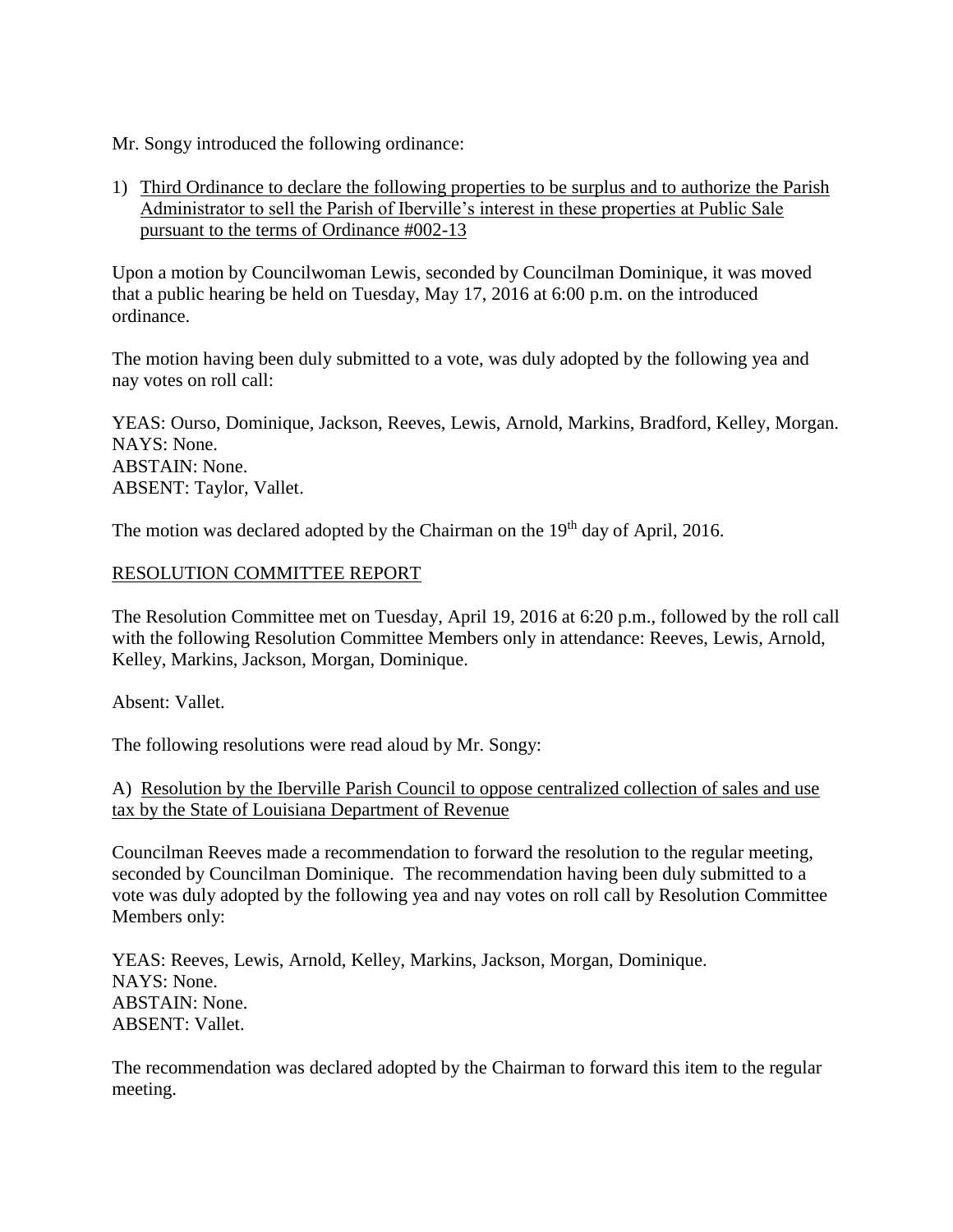Mr. Songy introduced the following ordinance:

1) Third Ordinance to declare the following properties to be surplus and to authorize the Parish Administrator to sell the Parish of Iberville's interest in these properties at Public Sale pursuant to the terms of Ordinance #002-13

Upon a motion by Councilwoman Lewis, seconded by Councilman Dominique, it was moved that a public hearing be held on Tuesday, May 17, 2016 at 6:00 p.m. on the introduced ordinance.

The motion having been duly submitted to a vote, was duly adopted by the following yea and nay votes on roll call:

YEAS: Ourso, Dominique, Jackson, Reeves, Lewis, Arnold, Markins, Bradford, Kelley, Morgan. NAYS: None. ABSTAIN: None. ABSENT: Taylor, Vallet.

The motion was declared adopted by the Chairman on the 19<sup>th</sup> day of April, 2016.

## RESOLUTION COMMITTEE REPORT

The Resolution Committee met on Tuesday, April 19, 2016 at 6:20 p.m., followed by the roll call with the following Resolution Committee Members only in attendance: Reeves, Lewis, Arnold, Kelley, Markins, Jackson, Morgan, Dominique.

Absent: Vallet.

The following resolutions were read aloud by Mr. Songy:

A) Resolution by the Iberville Parish Council to oppose centralized collection of sales and use tax by the State of Louisiana Department of Revenue

Councilman Reeves made a recommendation to forward the resolution to the regular meeting, seconded by Councilman Dominique. The recommendation having been duly submitted to a vote was duly adopted by the following yea and nay votes on roll call by Resolution Committee Members only:

YEAS: Reeves, Lewis, Arnold, Kelley, Markins, Jackson, Morgan, Dominique. NAYS: None. ABSTAIN: None. ABSENT: Vallet.

The recommendation was declared adopted by the Chairman to forward this item to the regular meeting.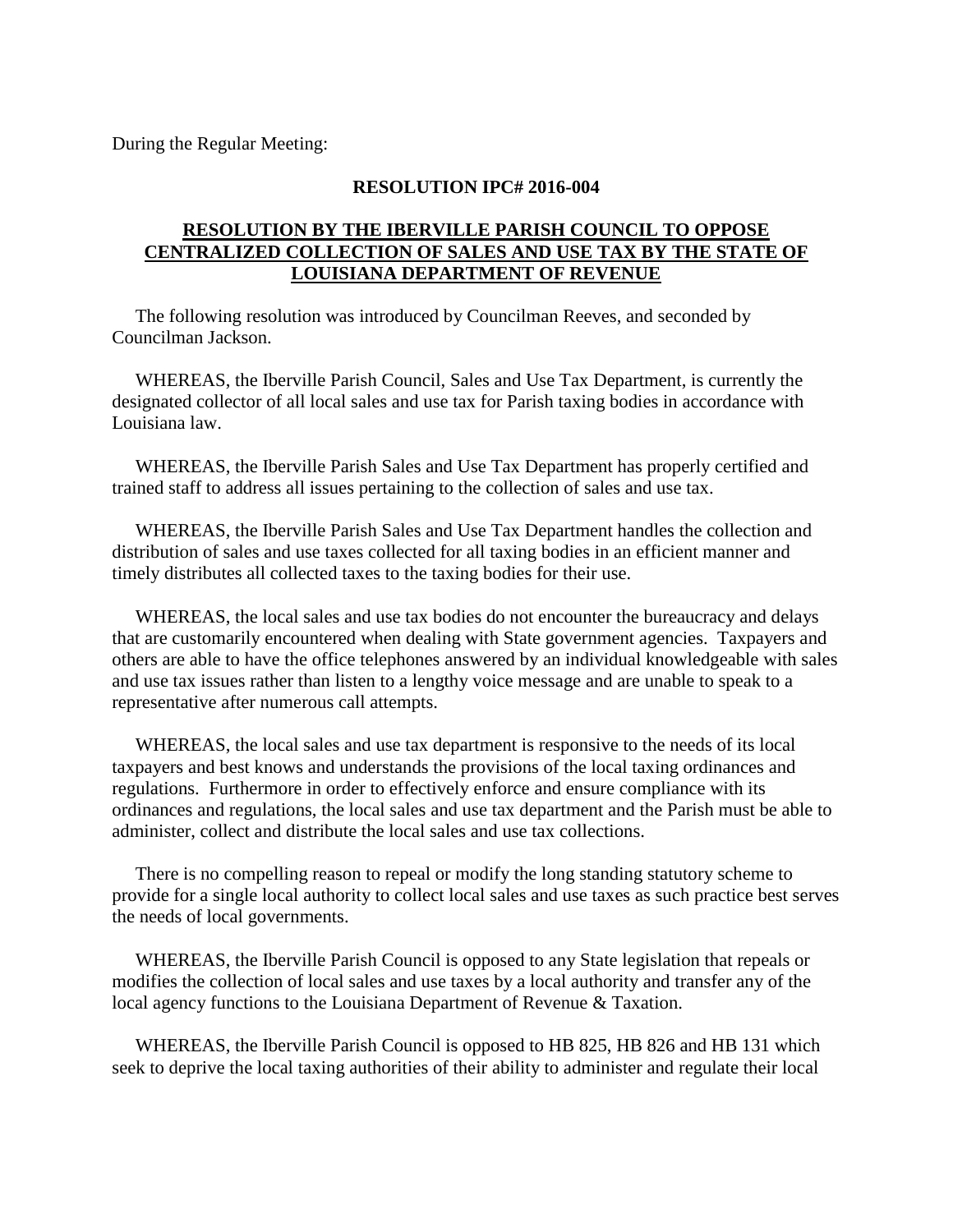During the Regular Meeting:

#### **RESOLUTION IPC# 2016-004**

## **RESOLUTION BY THE IBERVILLE PARISH COUNCIL TO OPPOSE CENTRALIZED COLLECTION OF SALES AND USE TAX BY THE STATE OF LOUISIANA DEPARTMENT OF REVENUE**

 The following resolution was introduced by Councilman Reeves, and seconded by Councilman Jackson.

 WHEREAS, the Iberville Parish Council, Sales and Use Tax Department, is currently the designated collector of all local sales and use tax for Parish taxing bodies in accordance with Louisiana law.

 WHEREAS, the Iberville Parish Sales and Use Tax Department has properly certified and trained staff to address all issues pertaining to the collection of sales and use tax.

 WHEREAS, the Iberville Parish Sales and Use Tax Department handles the collection and distribution of sales and use taxes collected for all taxing bodies in an efficient manner and timely distributes all collected taxes to the taxing bodies for their use.

 WHEREAS, the local sales and use tax bodies do not encounter the bureaucracy and delays that are customarily encountered when dealing with State government agencies. Taxpayers and others are able to have the office telephones answered by an individual knowledgeable with sales and use tax issues rather than listen to a lengthy voice message and are unable to speak to a representative after numerous call attempts.

 WHEREAS, the local sales and use tax department is responsive to the needs of its local taxpayers and best knows and understands the provisions of the local taxing ordinances and regulations. Furthermore in order to effectively enforce and ensure compliance with its ordinances and regulations, the local sales and use tax department and the Parish must be able to administer, collect and distribute the local sales and use tax collections.

 There is no compelling reason to repeal or modify the long standing statutory scheme to provide for a single local authority to collect local sales and use taxes as such practice best serves the needs of local governments.

 WHEREAS, the Iberville Parish Council is opposed to any State legislation that repeals or modifies the collection of local sales and use taxes by a local authority and transfer any of the local agency functions to the Louisiana Department of Revenue & Taxation.

 WHEREAS, the Iberville Parish Council is opposed to HB 825, HB 826 and HB 131 which seek to deprive the local taxing authorities of their ability to administer and regulate their local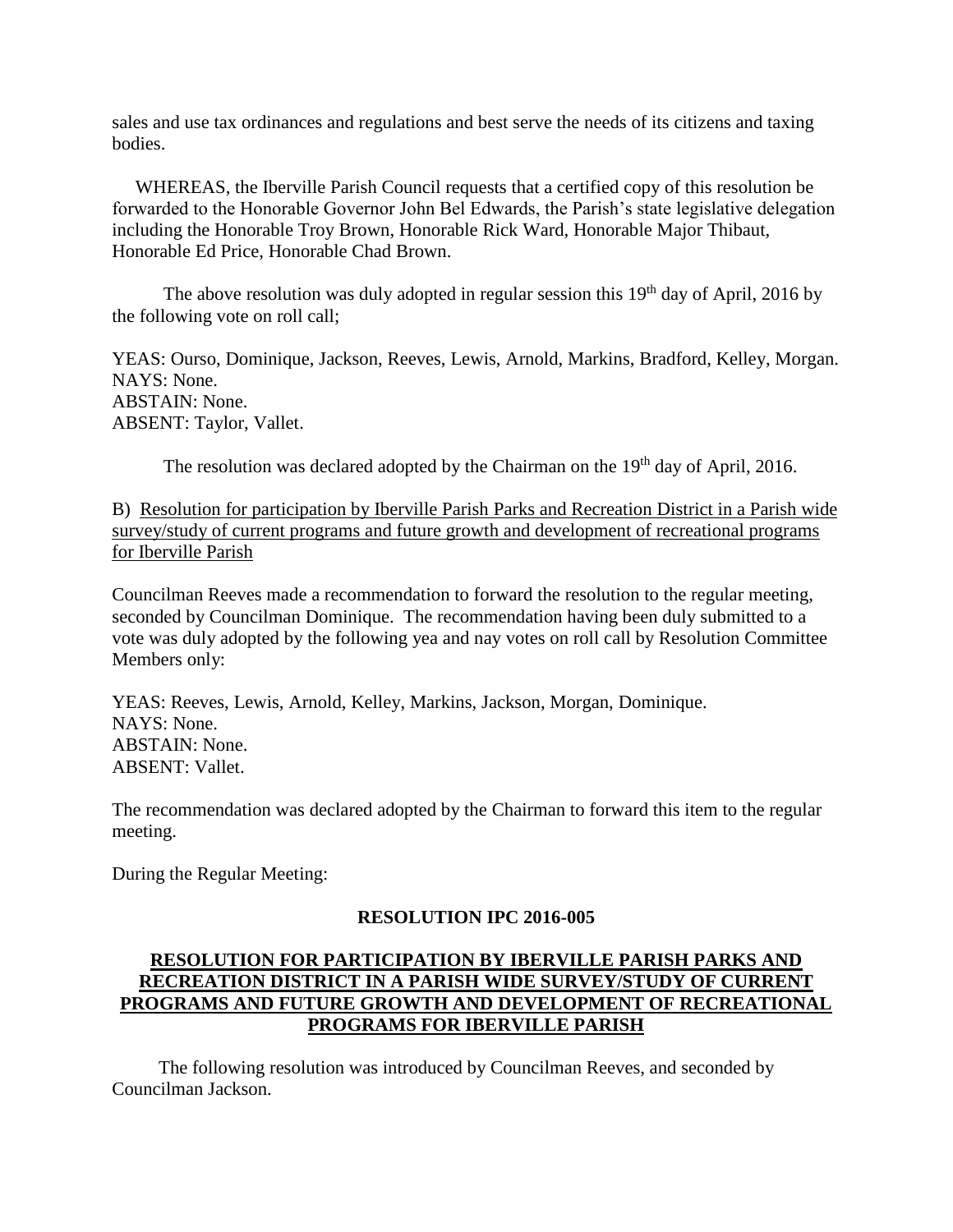sales and use tax ordinances and regulations and best serve the needs of its citizens and taxing bodies.

 WHEREAS, the Iberville Parish Council requests that a certified copy of this resolution be forwarded to the Honorable Governor John Bel Edwards, the Parish's state legislative delegation including the Honorable Troy Brown, Honorable Rick Ward, Honorable Major Thibaut, Honorable Ed Price, Honorable Chad Brown.

The above resolution was duly adopted in regular session this  $19<sup>th</sup>$  day of April, 2016 by the following vote on roll call;

YEAS: Ourso, Dominique, Jackson, Reeves, Lewis, Arnold, Markins, Bradford, Kelley, Morgan. NAYS: None. ABSTAIN: None. ABSENT: Taylor, Vallet.

The resolution was declared adopted by the Chairman on the 19<sup>th</sup> day of April, 2016.

B) Resolution for participation by Iberville Parish Parks and Recreation District in a Parish wide survey/study of current programs and future growth and development of recreational programs for Iberville Parish

Councilman Reeves made a recommendation to forward the resolution to the regular meeting, seconded by Councilman Dominique. The recommendation having been duly submitted to a vote was duly adopted by the following yea and nay votes on roll call by Resolution Committee Members only:

YEAS: Reeves, Lewis, Arnold, Kelley, Markins, Jackson, Morgan, Dominique. NAYS: None. ABSTAIN: None. ABSENT: Vallet.

The recommendation was declared adopted by the Chairman to forward this item to the regular meeting.

During the Regular Meeting:

#### **RESOLUTION IPC 2016-005**

# **RESOLUTION FOR PARTICIPATION BY IBERVILLE PARISH PARKS AND RECREATION DISTRICT IN A PARISH WIDE SURVEY/STUDY OF CURRENT PROGRAMS AND FUTURE GROWTH AND DEVELOPMENT OF RECREATIONAL PROGRAMS FOR IBERVILLE PARISH**

 The following resolution was introduced by Councilman Reeves, and seconded by Councilman Jackson.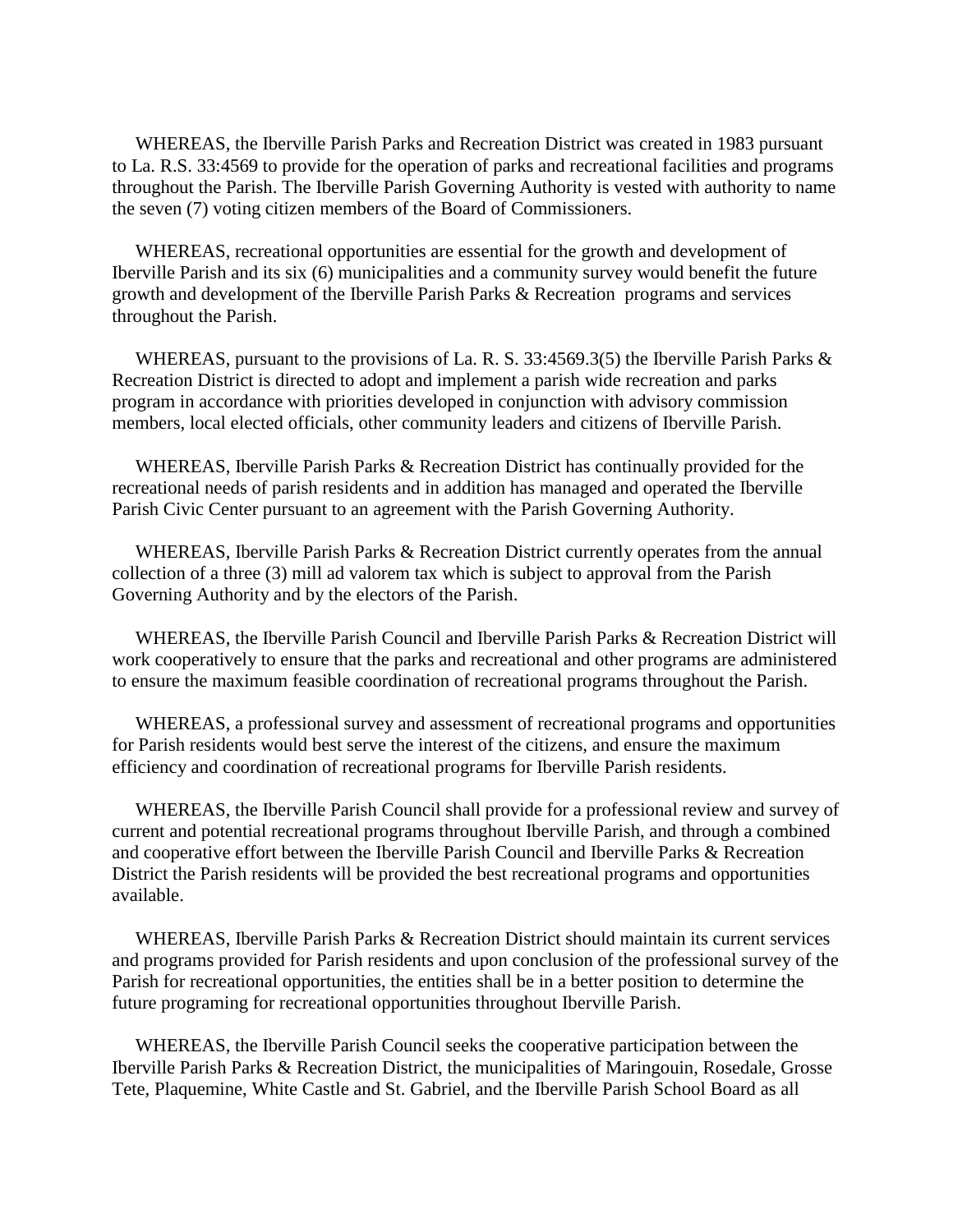WHEREAS, the Iberville Parish Parks and Recreation District was created in 1983 pursuant to La. R.S. 33:4569 to provide for the operation of parks and recreational facilities and programs throughout the Parish. The Iberville Parish Governing Authority is vested with authority to name the seven (7) voting citizen members of the Board of Commissioners.

 WHEREAS, recreational opportunities are essential for the growth and development of Iberville Parish and its six (6) municipalities and a community survey would benefit the future growth and development of the Iberville Parish Parks & Recreation programs and services throughout the Parish.

 WHEREAS, pursuant to the provisions of La. R. S. 33:4569.3(5) the Iberville Parish Parks & Recreation District is directed to adopt and implement a parish wide recreation and parks program in accordance with priorities developed in conjunction with advisory commission members, local elected officials, other community leaders and citizens of Iberville Parish.

 WHEREAS, Iberville Parish Parks & Recreation District has continually provided for the recreational needs of parish residents and in addition has managed and operated the Iberville Parish Civic Center pursuant to an agreement with the Parish Governing Authority.

WHEREAS, Iberville Parish Parks & Recreation District currently operates from the annual collection of a three (3) mill ad valorem tax which is subject to approval from the Parish Governing Authority and by the electors of the Parish.

 WHEREAS, the Iberville Parish Council and Iberville Parish Parks & Recreation District will work cooperatively to ensure that the parks and recreational and other programs are administered to ensure the maximum feasible coordination of recreational programs throughout the Parish.

 WHEREAS, a professional survey and assessment of recreational programs and opportunities for Parish residents would best serve the interest of the citizens, and ensure the maximum efficiency and coordination of recreational programs for Iberville Parish residents.

 WHEREAS, the Iberville Parish Council shall provide for a professional review and survey of current and potential recreational programs throughout Iberville Parish, and through a combined and cooperative effort between the Iberville Parish Council and Iberville Parks & Recreation District the Parish residents will be provided the best recreational programs and opportunities available.

WHEREAS, Iberville Parish Parks & Recreation District should maintain its current services and programs provided for Parish residents and upon conclusion of the professional survey of the Parish for recreational opportunities, the entities shall be in a better position to determine the future programing for recreational opportunities throughout Iberville Parish.

 WHEREAS, the Iberville Parish Council seeks the cooperative participation between the Iberville Parish Parks & Recreation District, the municipalities of Maringouin, Rosedale, Grosse Tete, Plaquemine, White Castle and St. Gabriel, and the Iberville Parish School Board as all